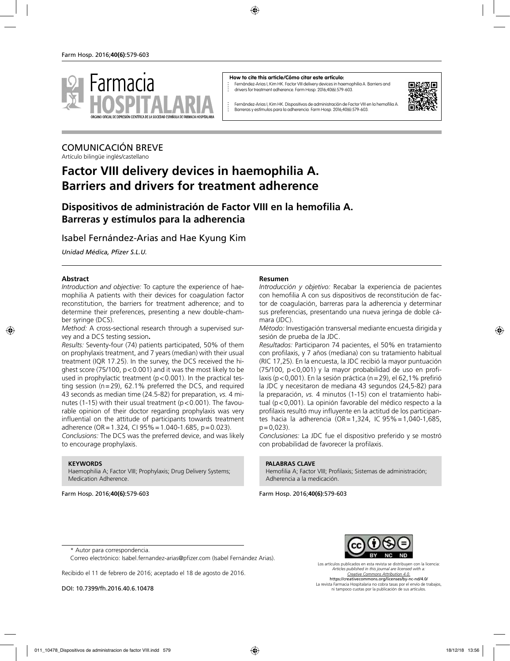

#### **How to cite this article/Cómo citar este artículo:**

Fernández-Arias I, Kim HK. Factor VIII delivery devices in haemophilia A. Barriers and drivers for treatment adherence. Farm Hosp. 2016;40(6):579-603.



Fernández-Arias I, Kim HK. Dispositivos de administración de Factor VIII en la hemofilia A. Barreras y estímulos para la adherencia. Farm Hosp. 2016;40(6):579-603.

# COMUNICACIÓN BREVE

Artículo bilingüe inglés/castellano

# **Factor VIII delivery devices in haemophilia A. Barriers and drivers for treatment adherence**

## **Dispositivos de administración de Factor VIII en la hemofilia A. Barreras y estímulos para la adherencia**

## Isabel Fernández-Arias and Hae Kyung Kim

*Unidad Médica, Pfizer S.L.U.*

### **Abstract**

*Introduction and objective:* To capture the experience of haemophilia A patients with their devices for coagulation factor reconstitution, the barriers for treatment adherence; and to determine their preferences, presenting a new double-chamber syringe (DCS).

*Method:* A cross-sectional research through a supervised survey and a DCS testing session**.** 

*Results:* Seventy-four (74) patients participated, 50% of them on prophylaxis treatment, and 7 years (median) with their usual treatment (IQR 17.25). In the survey, the DCS received the highest score (75/100, p<0.001) and it was the most likely to be used in prophylactic treatment  $(p < 0.001)$ . In the practical testing session (n=29), 62.1% preferred the DCS, and required 43 seconds as median time (24.5-82) for preparation, *vs.* 4 minutes (1-15) with their usual treatment ( $p < 0.001$ ). The favourable opinion of their doctor regarding prophylaxis was very influential on the attitude of participants towards treatment adherence (OR = 1.324, CI  $95\%$  = 1.040-1.685, p = 0.023).

*Conclusions:* The DCS was the preferred device, and was likely to encourage prophylaxis.

### **KEYWORDS**

Haemophilia A; Factor VIII; Prophylaxis; Drug Delivery Systems; Medication Adherence.

Farm Hosp. 2016;**40(6)**:579-603

### **Resumen**

*Introducción y objetivo:* Recabar la experiencia de pacientes con hemofilia A con sus dispositivos de reconstitución de factor de coagulación, barreras para la adherencia y determinar sus preferencias, presentando una nueva jeringa de doble cámara (JDC).

*Método:* Investigación transversal mediante encuesta dirigida y sesión de prueba de la JDC.

*Resultados:* Participaron 74 pacientes, el 50% en tratamiento con profilaxis, y 7 años (mediana) con su tratamiento habitual (RIC 17,25). En la encuesta, la JDC recibió la mayor puntuación (75/100, p<0,001) y la mayor probabilidad de uso en profilaxis (p<0,001). En la sesión práctica (n=29), el 62,1% prefirió la JDC y necesitaron de mediana 43 segundos (24,5-82) para la preparación, *vs.* 4 minutos (1-15) con el tratamiento habitual (p<0,001). La opinión favorable del médico respecto a la profilaxis resultó muy influyente en la actitud de los participantes hacia la adherencia (OR=1,324, IC 95%=1,040-1,685,  $p = 0.023$ ).

*Conclusiones:* La JDC fue el dispositivo preferido y se mostró con probabilidad de favorecer la profilaxis.

### **PALABRAS CLAVE**

Hemofilia A; Factor VIII; Profilaxis; Sistemas de administración; Adherencia a la medicación.

Farm Hosp. 2016;**40(6)**:579-603



Correo electrónico: Isabel.fernandez-arias@pfizer.com (Isabel Fernández Arias).

Recibido el 11 de febrero de 2016; aceptado el 18 de agosto de 2016.

DOI: 10.7399/fh.2016.40.6.10478



Los artículos publicados en esta revista se distribuyen con la licencia: *Articles published in this journal are licensed with a: Creative Commons Attribution 4.0.* https://creativecommons.org/licenses/by-nc-nd/4.0/ La revista Farmacia Hospitalaria no cobra tasas por el envío de trabajos, ni tampoco cuotas por la publicación de sus artículos.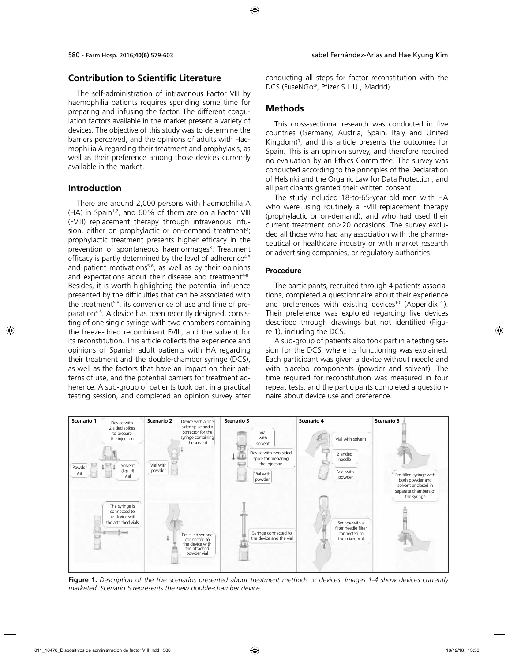## **Contribution to Scientific Literature**

The self-administration of intravenous Factor VIII by haemophilia patients requires spending some time for preparing and infusing the factor. The different coagulation factors available in the market present a variety of devices. The objective of this study was to determine the barriers perceived, and the opinions of adults with Haemophilia A regarding their treatment and prophylaxis, as well as their preference among those devices currently available in the market.

## **Introduction**

There are around 2,000 persons with haemophilia A (HA) in Spain<sup>1,2</sup>, and 60% of them are on a Factor VIII (FVIII) replacement therapy through intravenous infusion, either on prophylactic or on-demand treatment<sup>3</sup>; prophylactic treatment presents higher efficacy in the prevention of spontaneous haemorrhages<sup>3</sup>. Treatment efficacy is partly determined by the level of adherence<sup>4,5</sup> and patient motivations<sup>5,6</sup>, as well as by their opinions and expectations about their disease and treatment<sup>4-8</sup>. Besides, it is worth highlighting the potential influence presented by the difficulties that can be associated with the treatment<sup>5,8</sup>, its convenience of use and time of preparation<sup>4-6</sup>. A device has been recently designed, consisting of one single syringe with two chambers containing the freeze-dried recombinant FVIII, and the solvent for its reconstitution. This article collects the experience and opinions of Spanish adult patients with HA regarding their treatment and the double-chamber syringe (DCS), as well as the factors that have an impact on their patterns of use, and the potential barriers for treatment adherence. A sub-group of patients took part in a practical testing session, and completed an opinion survey after

conducting all steps for factor reconstitution with the DCS (FuseNGo®, Pfizer S.L.U., Madrid).

## **Methods**

This cross-sectional research was conducted in five countries (Germany, Austria, Spain, Italy and United Kingdom)9 , and this article presents the outcomes for Spain. This is an opinion survey, and therefore required no evaluation by an Ethics Committee. The survey was conducted according to the principles of the Declaration of Helsinki and the Organic Law for Data Protection, and all participants granted their written consent.

The study included 18-to-65-year old men with HA who were using routinely a FVIII replacement therapy (prophylactic or on-demand), and who had used their current treatment on≥20 occasions. The survey excluded all those who had any association with the pharmaceutical or healthcare industry or with market research or advertising companies, or regulatory authorities.

## **Procedure**

The participants, recruited through 4 patients associations, completed a questionnaire about their experience and preferences with existing devices<sup>10</sup> (Appendix 1). Their preference was explored regarding five devices described through drawings but not identified (Figure 1), including the DCS.

A sub-group of patients also took part in a testing session for the DCS, where its functioning was explained. Each participant was given a device without needle and with placebo components (powder and solvent). The time required for reconstitution was measured in four repeat tests, and the participants completed a questionnaire about device use and preference.



**Figure 1.** *Description of the five scenarios presented about treatment methods or devices. Images 1-4 show devices currently marketed. Scenario 5 represents the new double-chamber device.*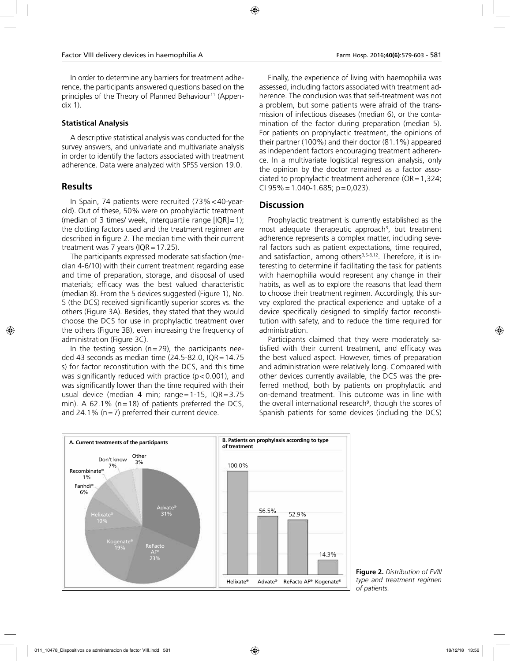In order to determine any barriers for treatment adherence, the participants answered questions based on the principles of the Theory of Planned Behaviour<sup>11</sup> (Appendix 1).

### **Statistical Analysis**

A descriptive statistical analysis was conducted for the survey answers, and univariate and multivariate analysis in order to identify the factors associated with treatment adherence. Data were analyzed with SPSS version 19.0.

## **Results**

In Spain, 74 patients were recruited (73%<40-yearold). Out of these, 50% were on prophylactic treatment (median of 3 times/ week, interquartile range  $[IQR]=1$ ); the clotting factors used and the treatment regimen are described in figure 2. The median time with their current treatment was 7 years ( $IQR = 17.25$ ).

The participants expressed moderate satisfaction (median 4-6/10) with their current treatment regarding ease and time of preparation, storage, and disposal of used materials; efficacy was the best valued characteristic (median 8). From the 5 devices suggested (Figure 1), No. 5 (the DCS) received significantly superior scores vs. the others (Figure 3A). Besides, they stated that they would choose the DCS for use in prophylactic treatment over the others (Figure 3B), even increasing the frequency of administration (Figure 3C).

In the testing session ( $n=29$ ), the participants needed 43 seconds as median time  $(24.5-82.0, IQR=14.75$ s) for factor reconstitution with the DCS, and this time was significantly reduced with practice  $(p < 0.001)$ , and was significantly lower than the time required with their usual device (median 4 min; range=1-15, IQR=3.75 min). A 62.1% ( $n=18$ ) of patients preferred the DCS, and 24.1% ( $n=7$ ) preferred their current device.

Finally, the experience of living with haemophilia was assessed, including factors associated with treatment adherence. The conclusion was that self-treatment was not a problem, but some patients were afraid of the transmission of infectious diseases (median 6), or the contamination of the factor during preparation (median 5). For patients on prophylactic treatment, the opinions of their partner (100%) and their doctor (81.1%) appeared as independent factors encouraging treatment adherence. In a multivariate logistical regression analysis, only the opinion by the doctor remained as a factor associated to prophylactic treatment adherence  $(OR = 1,324;$ CI  $95\% = 1.040 - 1.685$ ; p=0,023).

## **Discussion**

Prophylactic treatment is currently established as the most adequate therapeutic approach<sup>3</sup>, but treatment adherence represents a complex matter, including several factors such as patient expectations, time required, and satisfaction, among others<sup>3,5-8,12</sup>. Therefore, it is interesting to determine if facilitating the task for patients with haemophilia would represent any change in their habits, as well as to explore the reasons that lead them to choose their treatment regimen. Accordingly, this survey explored the practical experience and uptake of a device specifically designed to simplify factor reconstitution with safety, and to reduce the time required for administration.

Participants claimed that they were moderately satisfied with their current treatment, and efficacy was the best valued aspect. However, times of preparation and administration were relatively long. Compared with other devices currently available, the DCS was the preferred method, both by patients on prophylactic and on-demand treatment. This outcome was in line with the overall international research<sup>9</sup>, though the scores of Spanish patients for some devices (including the DCS)



**Figure 2.** *Distribution of FVIII type and treatment regimen of patients.*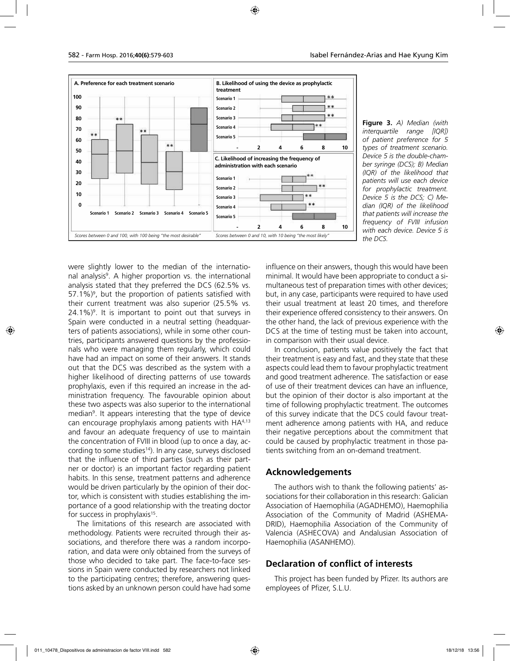

**Figure 3.** *A) Median (with interquartile range [IQR]) of patient preference for 5 types of treatment scenario. Device 5 is the double-chamber syringe (DCS); B) Median (IQR) of the likelihood that patients will use each device for prophylactic treatment. Device 5 is the DCS; C) Median (IQR) of the likelihood that patients will increase the frequency of FVIII infusion with each device. Device 5 is the DCS.*

were slightly lower to the median of the international analysis<sup>9</sup>. A higher proportion vs. the international analysis stated that they preferred the DCS (62.5% vs. 57.1%)<sup>9</sup>, but the proportion of patients satisfied with their current treatment was also superior (25.5% vs.  $24.1\%)$ <sup>9</sup>. It is important to point out that surveys in Spain were conducted in a neutral setting (headquarters of patients associations), while in some other countries, participants answered questions by the professionals who were managing them regularly, which could have had an impact on some of their answers. It stands out that the DCS was described as the system with a higher likelihood of directing patterns of use towards prophylaxis, even if this required an increase in the administration frequency. The favourable opinion about these two aspects was also superior to the international median9 . It appears interesting that the type of device can encourage prophylaxis among patients with  $HA^{4,13}$ and favour an adequate frequency of use to maintain the concentration of FVIII in blood (up to once a day, according to some studies<sup>14</sup>). In any case, surveys disclosed that the influence of third parties (such as their partner or doctor) is an important factor regarding patient habits. In this sense, treatment patterns and adherence would be driven particularly by the opinion of their doctor, which is consistent with studies establishing the importance of a good relationship with the treating doctor for success in prophylaxis<sup>15</sup>.

The limitations of this research are associated with methodology. Patients were recruited through their associations, and therefore there was a random incorporation, and data were only obtained from the surveys of those who decided to take part. The face-to-face sessions in Spain were conducted by researchers not linked to the participating centres; therefore, answering questions asked by an unknown person could have had some

influence on their answers, though this would have been minimal. It would have been appropriate to conduct a simultaneous test of preparation times with other devices; but, in any case, participants were required to have used their usual treatment at least 20 times, and therefore their experience offered consistency to their answers. On the other hand, the lack of previous experience with the DCS at the time of testing must be taken into account, in comparison with their usual device.

In conclusion, patients value positively the fact that their treatment is easy and fast, and they state that these aspects could lead them to favour prophylactic treatment and good treatment adherence. The satisfaction or ease of use of their treatment devices can have an influence, but the opinion of their doctor is also important at the time of following prophylactic treatment. The outcomes of this survey indicate that the DCS could favour treatment adherence among patients with HA, and reduce their negative perceptions about the commitment that could be caused by prophylactic treatment in those patients switching from an on-demand treatment.

## **Acknowledgements**

The authors wish to thank the following patients' associations for their collaboration in this research: Galician Association of Haemophilia (AGADHEMO), Haemophilia Association of the Community of Madrid (ASHEMA-DRID), Haemophilia Association of the Community of Valencia (ASHECOVA) and Andalusian Association of Haemophilia (ASANHEMO).

## **Declaration of conflict of interests**

This project has been funded by Pfizer. Its authors are employees of Pfizer, S.L.U.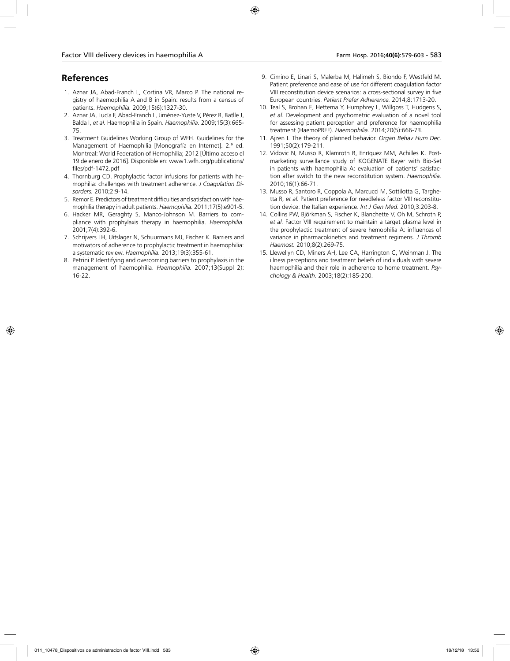## **References**

- 1. Aznar JA, Abad-Franch L, Cortina VR, Marco P. The national registry of haemophilia A and B in Spain: results from a census of patients. *Haemophilia.* 2009;15(6):1327-30.
- 2. Aznar JA, Lucía F, Abad-Franch L, Jiménez-Yuste V, Pérez R, Batlle J, Balda I, *et al.* Haemophilia in Spain. *Haemophilia.* 2009;15(3):665- 75.
- 3. Treatment Guidelines Working Group of WFH. Guidelines for the Management of Haemophilia [Monografía en Internet]. 2.ª ed. Montreal: World Federation of Hemophilia; 2012 [Último acceso el 19 de enero de 2016]. Disponible en: www1.wfh.org/publications/ files/pdf-1472.pdf
- 4. Thornburg CD. Prophylactic factor infusions for patients with hemophilia: challenges with treatment adherence. *J Coagulation Disorders.* 2010;2:9-14.
- 5. Remor E. Predictors of treatment difficulties and satisfaction with haemophilia therapy in adult patients. *Haemophilia.* 2011;17(5):e901-5.
- 6. Hacker MR, Geraghty S, Manco-Johnson M. Barriers to compliance with prophylaxis therapy in haemophilia. *Haemophilia.*  2001;7(4):392-6.
- 7. Schrijvers LH, Uitslager N, Schuurmans MJ, Fischer K. Barriers and motivators of adherence to prophylactic treatment in haemophilia: a systematic review. *Haemophilia.* 2013;19(3):355-61.
- 8. Petrini P. Identifying and overcoming barriers to prophylaxis in the management of haemophilia. *Haemophilia.* 2007;13(Suppl 2): 16-22.
- 9. Cimino E, Linari S, Malerba M, Halimeh S, Biondo F, Westfeld M. Patient preference and ease of use for different coagulation factor VIII reconstitution device scenarios: a cross-sectional survey in five European countries. *Patient Prefer Adherence.* 2014;8:1713-20.
- 10. Teal S, Brohan E, Hettema Y, Humphrey L, Willgoss T, Hudgens S, *et al.* Development and psychometric evaluation of a novel tool for assessing patient perception and preference for haemophilia treatment (HaemoPREF). *Haemophilia.* 2014;20(5):666-73.
- 11. Ajzen I. The theory of planned behavior. *Organ Behav Hum Dec.*  1991;50(2):179-211.
- 12. Vidovic N, Musso R, Klamroth R, Enríquez MM, Achilles K. Postmarketing surveillance study of KOGENATE Bayer with Bio-Set in patients with haemophilia A: evaluation of patients' satisfaction after switch to the new reconstitution system. *Haemophilia.*  2010;16(1):66-71.
- 13. Musso R, Santoro R, Coppola A, Marcucci M, Sottilotta G, Targhetta R, *et al.* Patient preference for needleless factor VIII reconstitution device: the Italian experience. *Int J Gen Med.* 2010;3:203-8.
- 14. Collins PW, Björkman S, Fischer K, Blanchette V, Oh M, Schroth P, *et al.* Factor VIII requirement to maintain a target plasma level in the prophylactic treatment of severe hemophilia A: influences of variance in pharmacokinetics and treatment regimens. *J Thromb Haemost.* 2010;8(2):269-75.
- 15. Llewellyn CD, Miners AH, Lee CA, Harrington C, Weinman J. The illness perceptions and treatment beliefs of individuals with severe haemophilia and their role in adherence to home treatment. *Psychology & Health.* 2003;18(2):185-200.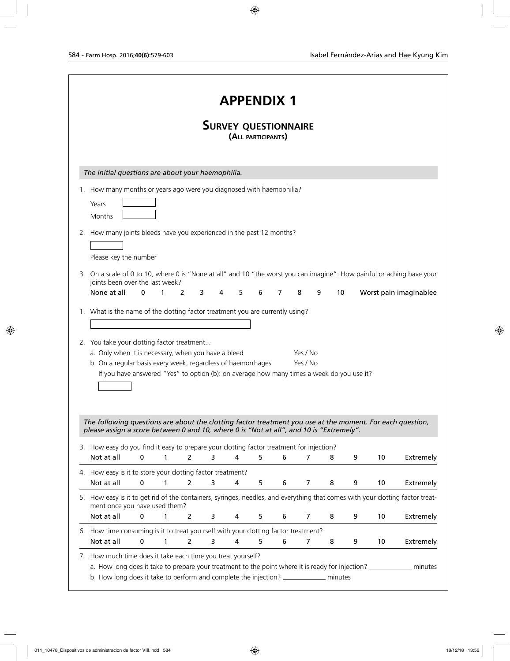|                                                                                                                                                                                                                                                                                                                |             |        |                       |   | <b>APPENDIX 1</b>                                 |   |   |                      |   |    |   |    |                        |
|----------------------------------------------------------------------------------------------------------------------------------------------------------------------------------------------------------------------------------------------------------------------------------------------------------------|-------------|--------|-----------------------|---|---------------------------------------------------|---|---|----------------------|---|----|---|----|------------------------|
|                                                                                                                                                                                                                                                                                                                |             |        |                       |   | <b>SURVEY QUESTIONNAIRE</b><br>(ALL PARTICIPANTS) |   |   |                      |   |    |   |    |                        |
| The initial questions are about your haemophilia.                                                                                                                                                                                                                                                              |             |        |                       |   |                                                   |   |   |                      |   |    |   |    |                        |
| 1. How many months or years ago were you diagnosed with haemophilia?<br>Years<br>Months                                                                                                                                                                                                                        |             |        |                       |   |                                                   |   |   |                      |   |    |   |    |                        |
| 2. How many joints bleeds have you experienced in the past 12 months?<br>Please key the number                                                                                                                                                                                                                 |             |        |                       |   |                                                   |   |   |                      |   |    |   |    |                        |
| 3. On a scale of 0 to 10, where 0 is "None at all" and 10 "the worst you can imagine": How painful or aching have your<br>joints been over the last week?                                                                                                                                                      |             |        |                       |   |                                                   |   |   |                      |   |    |   |    |                        |
| None at all                                                                                                                                                                                                                                                                                                    | 0           | 1<br>2 | 3                     | 4 | 5                                                 | 6 | 7 | 8                    | 9 | 10 |   |    | Worst pain imaginablee |
| 2. You take your clotting factor treatment<br>a. Only when it is necessary, when you have a bleed<br>b. On a regular basis every week, regardless of haemorrhages                                                                                                                                              |             |        |                       |   |                                                   |   |   | Yes / No<br>Yes / No |   |    |   |    |                        |
| If you have answered "Yes" to option (b): on average how many times a week do you use it?                                                                                                                                                                                                                      |             |        |                       |   |                                                   |   |   |                      |   |    |   |    |                        |
| The following questions are about the clotting factor treatment you use at the moment. For each question,<br>please assign a score between 0 and 10, where 0 is "Not at all", and 10 is "Extremely".<br>3. How easy do you find it easy to prepare your clotting factor treatment for injection?<br>Not at all | 0           |        | 2                     | 3 | 4                                                 | 5 | 6 | 7                    | 8 |    | 9 | 10 |                        |
| 4. How easy is it to store your clotting factor treatment?                                                                                                                                                                                                                                                     |             |        |                       |   |                                                   |   |   |                      |   |    |   |    | Extremely              |
| Not at all<br>5. How easy is it to get rid of the containers, syringes, needles, and everything that comes with your clotting factor treat-                                                                                                                                                                    | 0           | 1      | 2                     | 3 | 4                                                 | 5 | 6 | 7                    | 8 |    | 9 | 10 | Extremely              |
| ment once you have used them?<br>Not at all                                                                                                                                                                                                                                                                    | $\pmb{0}$   | 1      | 2                     | 3 | 4                                                 | 5 | 6 | 7                    | 8 |    | 9 | 10 | Extremely              |
| 6. How time consuming is it to treat you rself with your clotting factor treatment?<br>Not at all                                                                                                                                                                                                              | $\mathbf 0$ | 1      | $\mathbf{2}^{\prime}$ | 3 | 4                                                 | 5 | 6 | 7                    | 8 |    | 9 | 10 | Extremely              |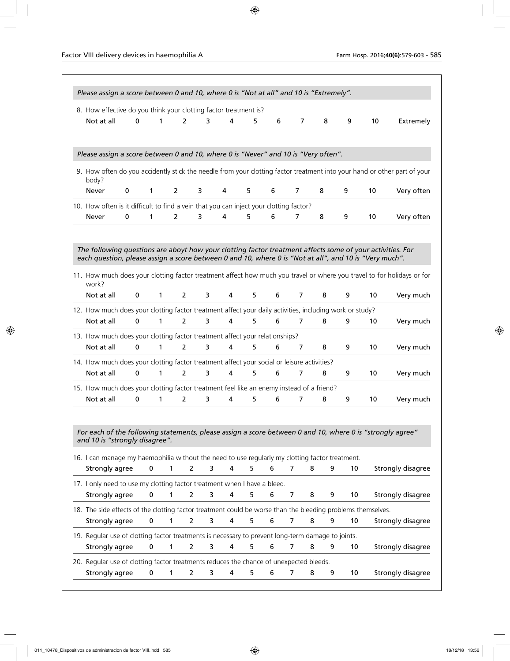| 8. How effective do you think your clotting factor treatment is?<br>Not at all<br>Please assign a score between 0 and 10, where 0 is "Never" and 10 is "Very often".                                                                           | 0           | 1            | 2              | 3              |   |        |   |   |   |         |    |                                                                                                                          |
|------------------------------------------------------------------------------------------------------------------------------------------------------------------------------------------------------------------------------------------------|-------------|--------------|----------------|----------------|---|--------|---|---|---|---------|----|--------------------------------------------------------------------------------------------------------------------------|
|                                                                                                                                                                                                                                                |             |              |                |                |   | 4<br>5 | 6 | 7 | 8 | 9       | 10 | Extremely                                                                                                                |
|                                                                                                                                                                                                                                                |             |              |                |                |   |        |   |   |   |         |    |                                                                                                                          |
| body?                                                                                                                                                                                                                                          |             |              |                |                |   |        |   |   |   |         |    | 9. How often do you accidently stick the needle from your clotting factor treatment into your hand or other part of your |
| <b>Never</b>                                                                                                                                                                                                                                   | 0           | $\mathbf{1}$ | 2              | 3              | 4 | 5      | 6 | 7 | 8 | 9       | 10 | Very often                                                                                                               |
| 10. How often is it difficult to find a vein that you can inject your clotting factor?                                                                                                                                                         |             |              |                |                |   |        |   |   |   |         |    |                                                                                                                          |
| Never                                                                                                                                                                                                                                          | $\mathbf 0$ | 1            | 2              | 3              | 4 | 5      | 6 | 7 | 8 | 9       | 10 | Very often                                                                                                               |
| The following questions are aboyt how your clotting factor treatment affects some of your activities. For<br>each question, please assign a score between 0 and 10, where 0 is "Not at all", and 10 is "Very much".<br>work?                   |             |              |                |                |   |        |   |   |   |         |    | 11. How much does your clotting factor treatment affect how much you travel or where you travel to for holidays or for   |
| Not at all                                                                                                                                                                                                                                     | $\mathbf 0$ | $\mathbf{1}$ | $\overline{2}$ | 3              |   | 4<br>5 | 6 | 7 | 8 | 9       | 10 | Very much                                                                                                                |
| 12. How much does your clotting factor treatment affect your daily activities, including work or study?<br>Not at all                                                                                                                          | 0           | 1            | $\overline{2}$ | 3              |   | 4<br>5 | 6 | 7 | 8 | 9       | 10 | Very much                                                                                                                |
| 13. How much does your clotting factor treatment affect your relationships?                                                                                                                                                                    |             |              |                |                |   |        |   |   |   |         |    |                                                                                                                          |
| Not at all                                                                                                                                                                                                                                     | $\mathbf 0$ | $\mathbf{1}$ | 2              | 3              |   | 4<br>5 | 6 | 7 | 8 | 9       | 10 | Very much                                                                                                                |
| 14. How much does your clotting factor treatment affect your social or leisure activities?                                                                                                                                                     |             |              |                |                |   |        |   |   |   |         |    |                                                                                                                          |
| Not at all                                                                                                                                                                                                                                     | 0           | 1            | $\mathcal{P}$  | 3              |   | 4<br>5 | 6 | 7 | 8 | 9       | 10 | Very much                                                                                                                |
| 15. How much does your clotting factor treatment feel like an enemy instead of a friend?                                                                                                                                                       |             |              |                |                |   |        |   |   |   |         |    |                                                                                                                          |
| Not at all                                                                                                                                                                                                                                     | 0           | 1            | 2              | 3              |   | 5<br>4 | 6 | 7 | 8 | 9       | 10 | Very much                                                                                                                |
| For each of the following statements, please assign a score between 0 and 10, where 0 is "strongly agree"<br>and 10 is "strongly disagree".<br>16. I can manage my haemophilia without the need to use regularly my clotting factor treatment. |             |              |                |                |   |        |   |   |   |         |    |                                                                                                                          |
| Strongly agree                                                                                                                                                                                                                                 |             | 0            | 1              | 2              | 3 | 5<br>4 | 6 | 7 | 8 | 9<br>10 |    | Strongly disagree                                                                                                        |
| 17. I only need to use my clotting factor treatment when I have a bleed.<br>Strongly agree                                                                                                                                                     |             | 0            | 1              | 2              | 3 | 4<br>5 | 6 | 7 | 8 | 9<br>10 |    | Strongly disagree                                                                                                        |
| 18. The side effects of the clotting factor treatment could be worse than the bleeding problems themselves.                                                                                                                                    |             |              |                |                |   |        |   |   |   |         |    |                                                                                                                          |
| Strongly agree                                                                                                                                                                                                                                 |             | $\mathbf 0$  | 1              | $\overline{2}$ | 3 | 4<br>5 | 6 | 7 | 8 | 10<br>9 |    | Strongly disagree                                                                                                        |
| 19. Regular use of clotting factor treatments is necessary to prevent long-term damage to joints.<br>Strongly agree                                                                                                                            |             | $\mathbf 0$  | 1              | $\overline{2}$ | 3 | 4<br>5 | 6 | 7 | 8 | 10<br>9 |    | Strongly disagree                                                                                                        |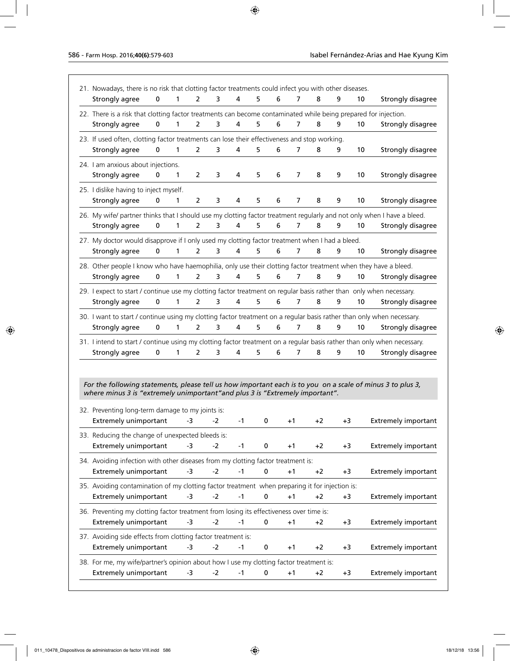| 21. Nowadays, there is no risk that clotting factor treatments could infect you with other diseases.                                                                                        |             |              |                |      |      |             |   |                |      |      |    |                                                                                                                        |
|---------------------------------------------------------------------------------------------------------------------------------------------------------------------------------------------|-------------|--------------|----------------|------|------|-------------|---|----------------|------|------|----|------------------------------------------------------------------------------------------------------------------------|
| Strongly agree                                                                                                                                                                              | $\mathbf 0$ | 1            | $\overline{2}$ | 3    | 4    | 5           | 6 | 7              | 8    | 9    | 10 | Strongly disagree                                                                                                      |
| 22. There is a risk that clotting factor treatments can become contaminated while being prepared for injection.                                                                             |             |              |                |      |      |             |   |                |      |      |    |                                                                                                                        |
| Strongly agree                                                                                                                                                                              | $\mathbf 0$ | $\mathbf{1}$ | $\overline{2}$ | 3    | 4    | 5           | 6 | $\overline{7}$ | 8    | 9    | 10 | Strongly disagree                                                                                                      |
| 23. If used often, clotting factor treatments can lose their effectiveness and stop working.                                                                                                |             |              |                |      |      |             |   |                |      |      |    |                                                                                                                        |
| Strongly agree                                                                                                                                                                              | 0           | 1            | $\overline{2}$ | 3    | 4    | 5           | 6 | 7              | 8    | 9    | 10 | Strongly disagree                                                                                                      |
| 24. I am anxious about injections.                                                                                                                                                          |             |              |                |      |      |             |   |                |      |      |    |                                                                                                                        |
| Strongly agree                                                                                                                                                                              | 0           | 1            | 2              | 3    | 4    | 5           | 6 | 7              | 8    | 9    | 10 | Strongly disagree                                                                                                      |
| 25. I dislike having to inject myself.                                                                                                                                                      |             |              |                |      |      |             |   |                |      |      |    |                                                                                                                        |
| Strongly agree                                                                                                                                                                              | 0           | 1            | 2              | 3    | 4    | 5           | 6 | 7              | 8    | 9    | 10 | Strongly disagree                                                                                                      |
|                                                                                                                                                                                             |             |              |                |      |      |             |   |                |      |      |    | 26. My wife/ partner thinks that I should use my clotting factor treatment regularly and not only when I have a bleed. |
| Strongly agree                                                                                                                                                                              | $\mathbf 0$ | 1            | $\overline{2}$ | 3    | 4    | 5           | 6 | $\overline{7}$ | 8    | 9    | 10 | Strongly disagree                                                                                                      |
| 27. My doctor would disapprove if I only used my clotting factor treatment when I had a bleed.                                                                                              |             |              |                |      |      |             |   |                |      |      |    |                                                                                                                        |
| Strongly agree                                                                                                                                                                              | 0           | 1            | 2              | 3    | 4    | 5           | 6 | 7              | 8    | 9    | 10 | Strongly disagree                                                                                                      |
| 28. Other people I know who have haemophilia, only use their clotting factor treatment when they have a bleed.                                                                              |             |              |                |      |      |             |   |                |      |      |    |                                                                                                                        |
| Strongly agree                                                                                                                                                                              | 0           | 1            | $\overline{2}$ | 3    | 4    | 5           | 6 | 7              | 8    | 9    | 10 | Strongly disagree                                                                                                      |
| 29. I expect to start / continue use my clotting factor treatment on regular basis rather than only when necessary.                                                                         |             |              |                |      |      |             |   |                |      |      |    |                                                                                                                        |
| Strongly agree                                                                                                                                                                              | 0           | 1            | 2              | 3    | 4    | 5           | 6 | 7              | 8    | 9    | 10 | Strongly disagree                                                                                                      |
| 30. I want to start / continue using my clotting factor treatment on a regular basis rather than only when necessary.                                                                       |             |              |                |      |      |             |   |                |      |      |    |                                                                                                                        |
| Strongly agree                                                                                                                                                                              | 0           | 1            | $\overline{2}$ | 3    | 4    | 5           | 6 | 7              | 8    | 9    | 10 | Strongly disagree                                                                                                      |
| 31. I intend to start / continue using my clotting factor treatment on a regular basis rather than only when necessary.                                                                     |             |              |                |      |      |             |   |                |      |      |    |                                                                                                                        |
| Strongly agree                                                                                                                                                                              | 0           | 1            | 2              | 3    | 4    | 5           | 6 | 7              | 8    | 9    | 10 | Strongly disagree                                                                                                      |
|                                                                                                                                                                                             |             |              |                |      |      |             |   |                |      |      |    |                                                                                                                        |
|                                                                                                                                                                                             |             |              |                |      |      |             |   |                |      |      |    |                                                                                                                        |
| For the following statements, please tell us how important each is to you on a scale of minus 3 to plus 3,<br>where minus 3 is "extremely unimportant" and plus 3 is "Extremely important". |             |              |                |      |      |             |   |                |      |      |    |                                                                                                                        |
|                                                                                                                                                                                             |             |              |                |      |      |             |   |                |      |      |    |                                                                                                                        |
| 32. Preventing long-term damage to my joints is:                                                                                                                                            |             |              |                |      |      |             |   |                |      |      |    |                                                                                                                        |
| <b>Extremely unimportant</b>                                                                                                                                                                |             |              | -3             | $-2$ | $-1$ | 0           |   | $+1$           | $+2$ | $+3$ |    | <b>Extremely important</b>                                                                                             |
| 33. Reducing the change of unexpected bleeds is:                                                                                                                                            |             |              |                |      |      |             |   |                |      |      |    |                                                                                                                        |
| <b>Extremely unimportant</b>                                                                                                                                                                |             |              | -3             | $-2$ | $-1$ | 0           |   | $+1$           | +2   | +3   |    | <b>Extremely important</b>                                                                                             |
| 34. Avoiding infection with other diseases from my clotting factor treatment is:                                                                                                            |             |              |                |      |      |             |   |                |      |      |    |                                                                                                                        |
| <b>Extremely unimportant</b>                                                                                                                                                                |             |              | -3             | $-2$ | $-1$ | $\mathbf 0$ |   | $+1$           | $+2$ | $+3$ |    | <b>Extremely important</b>                                                                                             |
| 35. Avoiding contamination of my clotting factor treatment when preparing it for injection is:                                                                                              |             |              |                |      |      |             |   |                |      |      |    |                                                                                                                        |
| <b>Extremely unimportant</b>                                                                                                                                                                |             |              | -3             | $-2$ | $-1$ | $\pmb{0}$   |   | $+1$           | $+2$ | $+3$ |    | <b>Extremely important</b>                                                                                             |
| 36. Preventing my clotting factor treatment from losing its effectiveness over time is:                                                                                                     |             |              |                |      |      |             |   |                |      |      |    |                                                                                                                        |
| <b>Extremely unimportant</b>                                                                                                                                                                |             |              | -3             | $-2$ | -1   | $\mathbf 0$ |   | $+1$           | $+2$ | $+3$ |    | <b>Extremely important</b>                                                                                             |
| 37. Avoiding side effects from clotting factor treatment is:                                                                                                                                |             |              |                |      |      |             |   |                |      |      |    |                                                                                                                        |
| <b>Extremely unimportant</b>                                                                                                                                                                |             |              | -3             | $-2$ | -1   | 0           |   | $+1$           | $+2$ | $+3$ |    | <b>Extremely important</b>                                                                                             |
| 38. For me, my wife/partner's opinion about how I use my clotting factor treatment is:                                                                                                      |             |              |                |      |      |             |   |                |      |      |    |                                                                                                                        |
| <b>Extremely unimportant</b>                                                                                                                                                                |             |              | -3             | $-2$ | $-1$ | 0           |   | $+1$           | $+2$ | $+3$ |    | <b>Extremely important</b>                                                                                             |
|                                                                                                                                                                                             |             |              |                |      |      |             |   |                |      |      |    |                                                                                                                        |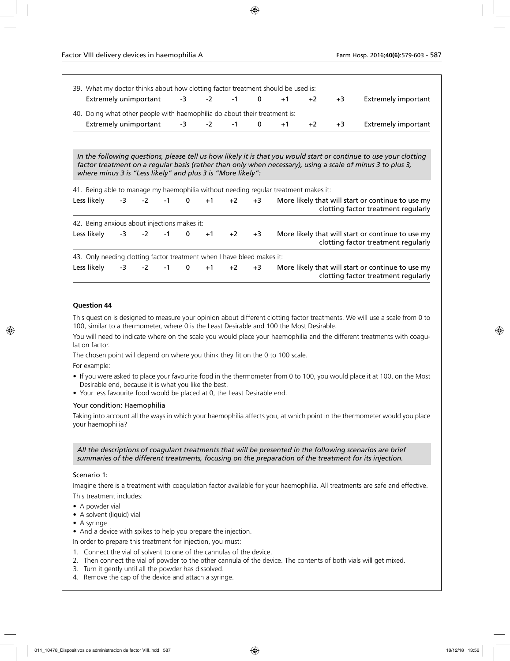| Extremely unimportant -3                                                                                                                           |      |                  |             | $-2$ | $-1$ $-1$ | $\bf{0}$ | $+1$ | $+2$ | $+3$ | Extremely important                                                                                        |
|----------------------------------------------------------------------------------------------------------------------------------------------------|------|------------------|-------------|------|-----------|----------|------|------|------|------------------------------------------------------------------------------------------------------------|
| 40. Doing what other people with haemophilia do about their treatment is:                                                                          |      |                  |             |      |           |          |      |      |      |                                                                                                            |
| Extremely unimportant -3                                                                                                                           |      |                  |             | $-2$ | -1        | 0        | $+1$ | $+2$ | $+3$ | Extremely important                                                                                        |
|                                                                                                                                                    |      |                  |             |      |           |          |      |      |      |                                                                                                            |
| where minus 3 is "Less likely" and plus 3 is "More likely":                                                                                        |      |                  |             |      |           |          |      |      |      | factor treatment on a regular basis (rather than only when necessary), using a scale of minus 3 to plus 3, |
|                                                                                                                                                    |      |                  |             |      |           |          |      |      |      |                                                                                                            |
|                                                                                                                                                    | $-3$ |                  | $-2$ $-1$ 0 | $+1$ | $+2$      | $+3$     |      |      |      | More likely that will start or continue to use my<br>clotting factor treatment regularly                   |
| 41. Being able to manage my haemophilia without needing regular treatment makes it:<br>Less likelv<br>42. Being anxious about injections makes it: |      |                  |             |      |           |          |      |      |      |                                                                                                            |
| Less likely                                                                                                                                        |      | $-3$ $-2$ $-1$ 0 |             | $+1$ | $+2$      | $+3$     |      |      |      | More likely that will start or continue to use my<br>clotting factor treatment regularly                   |
| 43. Only needing clotting factor treatment when I have bleed makes it:                                                                             |      |                  |             |      |           |          |      |      |      |                                                                                                            |

### **Question 44**

This question is designed to measure your opinion about different clotting factor treatments. We will use a scale from 0 to 100, similar to a thermometer, where 0 is the Least Desirable and 100 the Most Desirable.

You will need to indicate where on the scale you would place your haemophilia and the different treatments with coagulation factor.

The chosen point will depend on where you think they fit on the 0 to 100 scale.

For example:

- If you were asked to place your favourite food in the thermometer from 0 to 100, you would place it at 100, on the Most Desirable end, because it is what you like the best.
- Your less favourite food would be placed at 0, the Least Desirable end.

### Your condition: Haemophilia

Taking into account all the ways in which your haemophilia affects you, at which point in the thermometer would you place your haemophilia?

*All the descriptions of coagulant treatments that will be presented in the following scenarios are brief summaries of the different treatments, focusing on the preparation of the treatment for its injection.*

### Scenario 1:

Imagine there is a treatment with coagulation factor available for your haemophilia. All treatments are safe and effective. This treatment includes:

• A powder vial

- A solvent (liquid) vial
- A syringe

• And a device with spikes to help you prepare the injection.

In order to prepare this treatment for injection, you must:

- 1. Connect the vial of solvent to one of the cannulas of the device.
- 2. Then connect the vial of powder to the other cannula of the device. The contents of both vials will get mixed.
- 3. Turn it gently until all the powder has dissolved.
- 4. Remove the cap of the device and attach a syringe.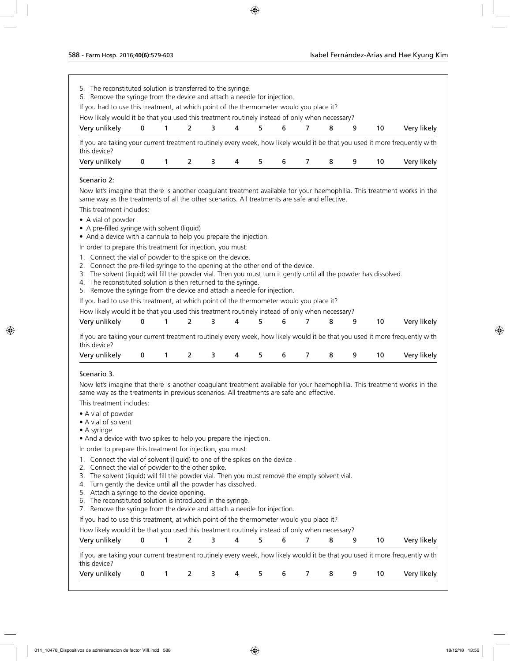| 5. The reconstituted solution is transferred to the syringe.                                                                                                                                                                                                                                                                                                                                                          |             |   |                |   |   |   |   |                |   |   |    |             |
|-----------------------------------------------------------------------------------------------------------------------------------------------------------------------------------------------------------------------------------------------------------------------------------------------------------------------------------------------------------------------------------------------------------------------|-------------|---|----------------|---|---|---|---|----------------|---|---|----|-------------|
| 6. Remove the syringe from the device and attach a needle for injection.<br>If you had to use this treatment, at which point of the thermometer would you place it?<br>How likely would it be that you used this treatment routinely instead of only when necessary?                                                                                                                                                  |             |   |                |   |   |   |   |                |   |   |    |             |
| Very unlikely                                                                                                                                                                                                                                                                                                                                                                                                         | 0           | 1 | $\overline{2}$ | 3 | 4 | 5 | 6 | 7              | 8 | 9 | 10 | Very likely |
| If you are taking your current treatment routinely every week, how likely would it be that you used it more frequently with<br>this device?                                                                                                                                                                                                                                                                           |             |   |                |   |   |   |   |                |   |   |    |             |
| Very unlikely                                                                                                                                                                                                                                                                                                                                                                                                         | 0           | 1 | 2              | 3 | 4 | 5 | 6 | 7              | 8 | 9 | 10 | Very likely |
| Scenario 2:                                                                                                                                                                                                                                                                                                                                                                                                           |             |   |                |   |   |   |   |                |   |   |    |             |
| Now let's imagine that there is another coagulant treatment available for your haemophilia. This treatment works in the<br>same way as the treatments of all the other scenarios. All treatments are safe and effective.                                                                                                                                                                                              |             |   |                |   |   |   |   |                |   |   |    |             |
| This treatment includes:                                                                                                                                                                                                                                                                                                                                                                                              |             |   |                |   |   |   |   |                |   |   |    |             |
| • A vial of powder<br>• A pre-filled syringe with solvent (liquid)<br>• And a device with a cannula to help you prepare the injection.                                                                                                                                                                                                                                                                                |             |   |                |   |   |   |   |                |   |   |    |             |
| In order to prepare this treatment for injection, you must:                                                                                                                                                                                                                                                                                                                                                           |             |   |                |   |   |   |   |                |   |   |    |             |
| Connect the vial of powder to the spike on the device.<br>1.<br>2. Connect the pre-filled syringe to the opening at the other end of the device.<br>3. The solvent (liquid) will fill the powder vial. Then you must turn it gently until all the powder has dissolved.<br>4. The reconstituted solution is then returned to the syringe.<br>5. Remove the syringe from the device and attach a needle for injection. |             |   |                |   |   |   |   |                |   |   |    |             |
| If you had to use this treatment, at which point of the thermometer would you place it?                                                                                                                                                                                                                                                                                                                               |             |   |                |   |   |   |   |                |   |   |    |             |
| How likely would it be that you used this treatment routinely instead of only when necessary?                                                                                                                                                                                                                                                                                                                         |             |   |                |   |   |   |   |                |   |   |    |             |
| Very unlikely                                                                                                                                                                                                                                                                                                                                                                                                         | $\mathbf 0$ | 1 | $\overline{2}$ | 3 | 4 | 5 | 6 | $\overline{7}$ | 8 | 9 | 10 | Very likely |
| If you are taking your current treatment routinely every week, how likely would it be that you used it more frequently with<br>this device?                                                                                                                                                                                                                                                                           |             |   |                |   |   |   |   |                |   |   |    |             |
| Very unlikely                                                                                                                                                                                                                                                                                                                                                                                                         | 0           | 1 | 2              | 3 | 4 | 5 | 6 | 7              | 8 | 9 | 10 | Very likely |
|                                                                                                                                                                                                                                                                                                                                                                                                                       |             |   |                |   |   |   |   |                |   |   |    |             |
| Scenario 3.                                                                                                                                                                                                                                                                                                                                                                                                           |             |   |                |   |   |   |   |                |   |   |    |             |
| Now let's imagine that there is another coagulant treatment available for your haemophilia. This treatment works in the<br>same way as the treatments in previous scenarios. All treatments are safe and effective.                                                                                                                                                                                                   |             |   |                |   |   |   |   |                |   |   |    |             |
| This treatment includes:                                                                                                                                                                                                                                                                                                                                                                                              |             |   |                |   |   |   |   |                |   |   |    |             |
| • A vial of powder<br>• A vial of solvent                                                                                                                                                                                                                                                                                                                                                                             |             |   |                |   |   |   |   |                |   |   |    |             |
| $\bullet$ A syringe<br>• And a device with two spikes to help you prepare the injection.                                                                                                                                                                                                                                                                                                                              |             |   |                |   |   |   |   |                |   |   |    |             |
| In order to prepare this treatment for injection, you must:                                                                                                                                                                                                                                                                                                                                                           |             |   |                |   |   |   |   |                |   |   |    |             |
| Connect the vial of solvent (liquid) to one of the spikes on the device.<br>1.<br>2. Connect the vial of powder to the other spike.<br>The solvent (liquid) will fill the powder vial. Then you must remove the empty solvent vial.<br>3.<br>4. Turn gently the device until all the powder has dissolved.<br>5. Attach a syringe to the device opening.                                                              |             |   |                |   |   |   |   |                |   |   |    |             |
| 6. The reconstituted solution is introduced in the syringe.                                                                                                                                                                                                                                                                                                                                                           |             |   |                |   |   |   |   |                |   |   |    |             |
| 7. Remove the syringe from the device and attach a needle for injection.                                                                                                                                                                                                                                                                                                                                              |             |   |                |   |   |   |   |                |   |   |    |             |
| If you had to use this treatment, at which point of the thermometer would you place it?<br>How likely would it be that you used this treatment routinely instead of only when necessary?                                                                                                                                                                                                                              |             |   |                |   |   |   |   |                |   |   |    |             |
| Very unlikely                                                                                                                                                                                                                                                                                                                                                                                                         | 0           | 1 | 2              | 3 | 4 | 5 | 6 | 7              | 8 | 9 | 10 | Very likely |
| If you are taking your current treatment routinely every week, how likely would it be that you used it more frequently with<br>this device?                                                                                                                                                                                                                                                                           |             |   |                |   |   |   |   |                |   |   |    |             |
| Very unlikely                                                                                                                                                                                                                                                                                                                                                                                                         | 0           | 1 | 2              | 3 | 4 | 5 | 6 | 7              | 8 | 9 | 10 | Very likely |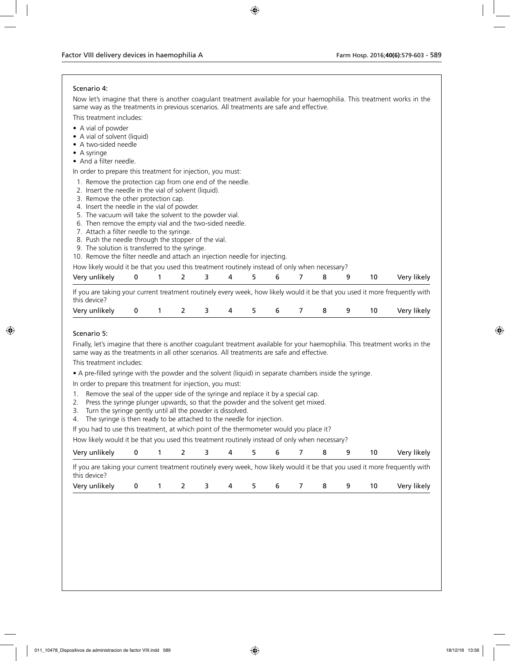### Scenario 4:

Now let's imagine that there is another coagulant treatment available for your haemophilia. This treatment works in the same way as the treatments in previous scenarios. All treatments are safe and effective.

This treatment includes:

- A vial of powder
- A vial of solvent (liquid)
- A two-sided needle
- A syringe
- And a filter needle.

In order to prepare this treatment for injection, you must:

- 1. Remove the protection cap from one end of the needle.
- 2. Insert the needle in the vial of solvent (liquid).
- 3. Remove the other protection cap.
- 4. Insert the needle in the vial of powder.
- 5. The vacuum will take the solvent to the powder vial.
- 6. Then remove the empty vial and the two-sided needle.
- 7. Attach a filter needle to the syringe.
- 8. Push the needle through the stopper of the vial.
- 9. The solution is transferred to the syringe.

10. Remove the filter needle and attach an injection needle for injecting.

| How likely would it be that you used this treatment routinely instead of only when necessary? |
|-----------------------------------------------------------------------------------------------|
|-----------------------------------------------------------------------------------------------|

| Very unlikely 0 1 2 3 4 5 6 7 8 9 10 Very likely                                                                         |  |  |  |  |  |  |
|--------------------------------------------------------------------------------------------------------------------------|--|--|--|--|--|--|
| If you are taking your current treatment routingly overweak, bowlikely would it he that you used it more frequently with |  |  |  |  |  |  |

If you are taking your current treatment routinely every week, how likely would it be that you used it more frequently with this device?

| Very<br>unlikelv |  |  |  |  |  | <br>10 <sup>o</sup><br>kelv<br>┄<br>$\sim$ |
|------------------|--|--|--|--|--|--------------------------------------------|
|                  |  |  |  |  |  |                                            |

### Scenario 5:

Finally, let's imagine that there is another coagulant treatment available for your haemophilia. This treatment works in the same way as the treatments in all other scenarios. All treatments are safe and effective.

This treatment includes:

• A pre-filled syringe with the powder and the solvent (liquid) in separate chambers inside the syringe.

In order to prepare this treatment for injection, you must:

- 1. Remove the seal of the upper side of the syringe and replace it by a special cap.
- 2. Press the syringe plunger upwards, so that the powder and the solvent get mixed.
- 3. Turn the syringe gently until all the powder is dissolved.
- 4. The syringe is then ready to be attached to the needle for injection.

If you had to use this treatment, at which point of the thermometer would you place it?

How likely would it be that you used this treatment routinely instead of only when necessary?

| Very unlikely                                                                                                                               | $\bf{0}$ | 1 2 3 4 5 6 7 8 9   |  |  |  | 10 | Very likely |
|---------------------------------------------------------------------------------------------------------------------------------------------|----------|---------------------|--|--|--|----|-------------|
| If you are taking your current treatment routinely every week, how likely would it be that you used it more frequently with<br>this device? |          |                     |  |  |  |    |             |
| Very unlikely                                                                                                                               |          | 0 1 2 3 4 5 6 7 8 9 |  |  |  | 10 | Very likely |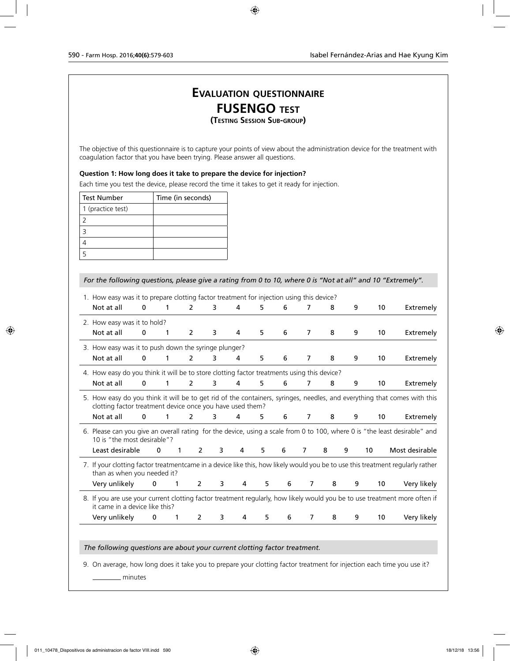## **Evaluation questionnaire FUSENGO test (Testing Session Sub-group)**

The objective of this questionnaire is to capture your points of view about the administration device for the treatment with coagulation factor that you have been trying. Please answer all questions.

### **Question 1: How long does it take to prepare the device for injection?**

Each time you test the device, please record the time it takes to get it ready for injection.

| <b>Test Number</b> | Time (in seconds) |
|--------------------|-------------------|
| 1 (practice test)  |                   |
|                    |                   |
|                    |                   |
|                    |                   |
|                    |                   |

### *For the following questions, please give a rating from 0 to 10, where 0 is "Not at all" and 10 "Extremely".*

| 1. How easy was it to prepare clotting factor treatment for injection using this device?   |             |   |                |   |   |    |   |                |   |   |    |                                                                                                                                |
|--------------------------------------------------------------------------------------------|-------------|---|----------------|---|---|----|---|----------------|---|---|----|--------------------------------------------------------------------------------------------------------------------------------|
| Not at all                                                                                 | $\mathbf 0$ | 1 | $\overline{2}$ | 3 | 4 | 5  | 6 | 7              | 8 | 9 | 10 | Extremely                                                                                                                      |
| 2. How easy was it to hold?                                                                |             |   |                |   |   |    |   |                |   |   |    |                                                                                                                                |
| Not at all                                                                                 | $\mathbf 0$ | 1 | 2              | 3 | 4 | 5  | 6 | $\overline{7}$ | 8 | 9 | 10 | Extremely                                                                                                                      |
| 3. How easy was it to push down the syringe plunger?                                       |             |   |                |   |   |    |   |                |   |   |    |                                                                                                                                |
| Not at all                                                                                 | $\Omega$    | 1 | 2              | 3 | 4 | 5  | 6 | 7              | 8 | 9 | 10 | Extremely                                                                                                                      |
| 4. How easy do you think it will be to store clotting factor treatments using this device? |             |   |                |   |   |    |   |                |   |   |    |                                                                                                                                |
| Not at all                                                                                 | $\mathbf 0$ | 1 | $\overline{2}$ | 3 | 4 | 5  | 6 | 7              | 8 | 9 | 10 | Extremely                                                                                                                      |
| clotting factor treatment device once you have used them?                                  |             |   |                |   |   |    |   |                |   |   |    | 5. How easy do you think it will be to get rid of the containers, syringes, needles, and everything that comes with this       |
| Not at all                                                                                 | $\mathbf 0$ | 1 | $\overline{2}$ | 3 | 4 | 5. | 6 | 7              | 8 | 9 | 10 | Extremely                                                                                                                      |
| 10 is "the most desirable"?                                                                |             |   |                |   |   |    |   |                |   |   |    | 6. Please can you give an overall rating for the device, using a scale from 0 to 100, where 0 is "the least desirable" and     |
| Least desirable                                                                            |             | 0 | 2<br>1         | 3 | 4 | 5  | 6 | 7              | 8 | 9 | 10 | Most desirable                                                                                                                 |
| than as when you needed it?                                                                |             |   |                |   |   |    |   |                |   |   |    | 7. If your clotting factor treatmentcame in a device like this, how likely would you be to use this treatment regularly rather |
| Very unlikely                                                                              | 0           | 1 | $\overline{2}$ | 3 | 4 | 5  | 6 | 7              | 8 | 9 | 10 | Very likely                                                                                                                    |
| it came in a device like this?                                                             |             |   |                |   |   |    |   |                |   |   |    | 8. If you are use your current clotting factor treatment regularly, how likely would you be to use treatment more often if     |
| Very unlikely                                                                              | 0           | 1 | 2              | 3 | 4 | 5  | 6 | 7              | 8 | 9 | 10 | Very likely                                                                                                                    |
|                                                                                            |             |   |                |   |   |    |   |                |   |   |    |                                                                                                                                |

*The following questions are about your current clotting factor treatment.*

9. On average, how long does it take you to prepare your clotting factor treatment for injection each time you use it?

minutes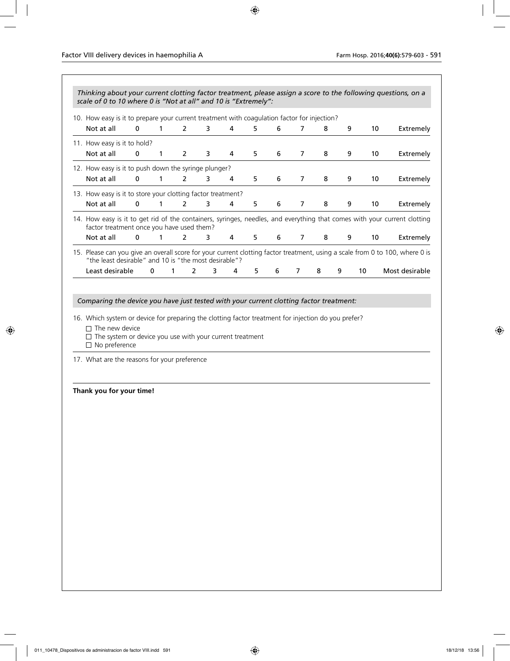| 10. How easy is it to prepare your current treatment with coagulation factor for injection?                                                                                                                                                                                                                                          |             |              |                |   |   |   |   |                |   |   |    |    |                |
|--------------------------------------------------------------------------------------------------------------------------------------------------------------------------------------------------------------------------------------------------------------------------------------------------------------------------------------|-------------|--------------|----------------|---|---|---|---|----------------|---|---|----|----|----------------|
| Not at all                                                                                                                                                                                                                                                                                                                           | $\mathbf 0$ | 1            | $\overline{2}$ | 3 | 4 | 5 | 6 | $\overline{7}$ | 8 | 9 |    | 10 | Extremely      |
| 11. How easy is it to hold?                                                                                                                                                                                                                                                                                                          |             |              |                |   |   |   |   |                |   |   |    |    |                |
| Not at all                                                                                                                                                                                                                                                                                                                           | $\mathbf 0$ | 1            | 2              | 3 | 4 | 5 | 6 | $\overline{7}$ | 8 | 9 |    | 10 | Extremely      |
| 12. How easy is it to push down the syringe plunger?                                                                                                                                                                                                                                                                                 |             |              |                |   |   |   |   |                |   |   |    |    |                |
| Not at all                                                                                                                                                                                                                                                                                                                           | $\mathbf 0$ | 1            | $\overline{2}$ | 3 | 4 | 5 | 6 | 7              | 8 | 9 |    | 10 | Extremely      |
| 13. How easy is it to store your clotting factor treatment?                                                                                                                                                                                                                                                                          |             |              |                |   |   |   |   |                |   |   |    |    |                |
| Not at all                                                                                                                                                                                                                                                                                                                           | $\mathbf 0$ | 1            | $\overline{2}$ | 3 | 4 | 5 | 6 | $\overline{7}$ | 8 | 9 |    | 10 | Extremely      |
| 14. How easy is it to get rid of the containers, syringes, needles, and everything that comes with your current clotting<br>factor treatment once you have used them?                                                                                                                                                                |             |              |                |   |   |   |   |                |   |   |    |    |                |
| Not at all                                                                                                                                                                                                                                                                                                                           | 0           | 1            | 2              | 3 | 4 | 5 | 6 | $\overline{7}$ | 8 | 9 |    | 10 | Extremely      |
| 15. Please can you give an overall score for your current clotting factor treatment, using a scale from 0 to 100, where 0 is                                                                                                                                                                                                         |             |              |                |   |   |   |   |                |   |   |    |    |                |
| "the least desirable" and 10 is "the most desirable"?                                                                                                                                                                                                                                                                                |             |              |                |   |   |   |   |                |   |   |    |    |                |
|                                                                                                                                                                                                                                                                                                                                      |             |              |                |   |   |   |   |                |   |   |    |    |                |
| Least desirable<br>Comparing the device you have just tested with your current clotting factor treatment:<br>16. Which system or device for preparing the clotting factor treatment for injection do you prefer?<br>$\Box$ The new device<br>$\Box$ The system or device you use with your current treatment<br>$\Box$ No preference | $\mathbf 0$ | $\mathbf{1}$ | $\overline{2}$ | 3 | 4 | 5 | 6 | 7              | 8 | 9 | 10 |    |                |
| 17. What are the reasons for your preference                                                                                                                                                                                                                                                                                         |             |              |                |   |   |   |   |                |   |   |    |    |                |
|                                                                                                                                                                                                                                                                                                                                      |             |              |                |   |   |   |   |                |   |   |    |    |                |
| Thank you for your time!                                                                                                                                                                                                                                                                                                             |             |              |                |   |   |   |   |                |   |   |    |    |                |
|                                                                                                                                                                                                                                                                                                                                      |             |              |                |   |   |   |   |                |   |   |    |    |                |
|                                                                                                                                                                                                                                                                                                                                      |             |              |                |   |   |   |   |                |   |   |    |    | Most desirable |
|                                                                                                                                                                                                                                                                                                                                      |             |              |                |   |   |   |   |                |   |   |    |    |                |
|                                                                                                                                                                                                                                                                                                                                      |             |              |                |   |   |   |   |                |   |   |    |    |                |
|                                                                                                                                                                                                                                                                                                                                      |             |              |                |   |   |   |   |                |   |   |    |    |                |
|                                                                                                                                                                                                                                                                                                                                      |             |              |                |   |   |   |   |                |   |   |    |    |                |
|                                                                                                                                                                                                                                                                                                                                      |             |              |                |   |   |   |   |                |   |   |    |    |                |
|                                                                                                                                                                                                                                                                                                                                      |             |              |                |   |   |   |   |                |   |   |    |    |                |
|                                                                                                                                                                                                                                                                                                                                      |             |              |                |   |   |   |   |                |   |   |    |    |                |
|                                                                                                                                                                                                                                                                                                                                      |             |              |                |   |   |   |   |                |   |   |    |    |                |
|                                                                                                                                                                                                                                                                                                                                      |             |              |                |   |   |   |   |                |   |   |    |    |                |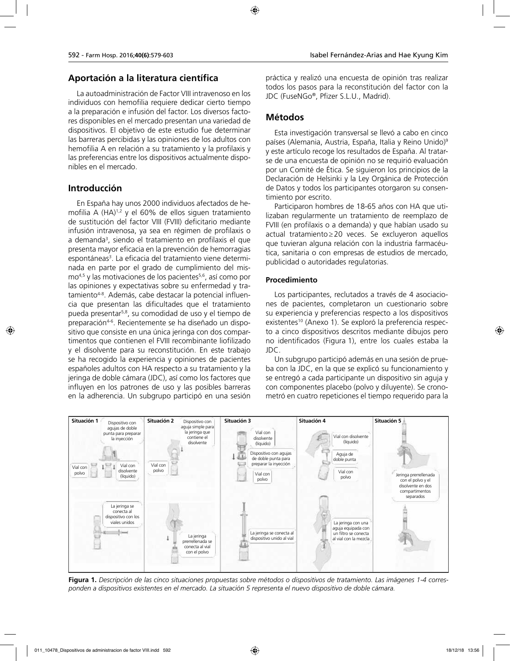## **Aportación a la literatura científica**

La autoadministración de Factor VIII intravenoso en los individuos con hemofilia requiere dedicar cierto tiempo a la preparación e infusión del factor. Los diversos factores disponibles en el mercado presentan una variedad de dispositivos. El objetivo de este estudio fue determinar las barreras percibidas y las opiniones de los adultos con hemofilia A en relación a su tratamiento y la profilaxis y las preferencias entre los dispositivos actualmente disponibles en el mercado.

## **Introducción**

En España hay unos 2000 individuos afectados de hemofilia A  $(HA)^{1,2}$  y el 60% de ellos siguen tratamiento de sustitución del factor VIII (FVIII) deficitario mediante infusión intravenosa, ya sea en régimen de profilaxis o a demanda<sup>3</sup>, siendo el tratamiento en profilaxis el que presenta mayor eficacia en la prevención de hemorragias espontáneas<sup>3</sup>. La eficacia del tratamiento viene determinada en parte por el grado de cumplimiento del mismo<sup>4,5</sup> y las motivaciones de los pacientes<sup>5,6</sup>, así como por las opiniones y expectativas sobre su enfermedad y tratamiento4-8. Además, cabe destacar la potencial influencia que presentan las dificultades que el tratamiento pueda presentar5,8, su comodidad de uso y el tiempo de preparación<sup>4-6</sup>. Recientemente se ha diseñado un dispositivo que consiste en una única jeringa con dos compartimentos que contienen el FVIII recombinante liofilizado y el disolvente para su reconstitución. En este trabajo se ha recogido la experiencia y opiniones de pacientes españoles adultos con HA respecto a su tratamiento y la jeringa de doble cámara (JDC), así como los factores que influyen en los patrones de uso y las posibles barreras en la adherencia. Un subgrupo participó en una sesión

práctica y realizó una encuesta de opinión tras realizar todos los pasos para la reconstitución del factor con la JDC (FuseNGo®, Pfizer S.L.U., Madrid).

## **Métodos**

Esta investigación transversal se llevó a cabo en cinco países (Alemania, Austria, España, Italia y Reino Unido)<sup>9</sup> y este artículo recoge los resultados de España. Al tratarse de una encuesta de opinión no se requirió evaluación por un Comité de Ética. Se siguieron los principios de la Declaración de Helsinki y la Ley Orgánica de Protección de Datos y todos los participantes otorgaron su consentimiento por escrito.

Participaron hombres de 18-65 años con HA que utilizaban regularmente un tratamiento de reemplazo de FVIII (en profilaxis o a demanda) y que habían usado su actual tratamiento≥20 veces. Se excluyeron aquellos que tuvieran alguna relación con la industria farmacéutica, sanitaria o con empresas de estudios de mercado, publicidad o autoridades regulatorias.

## **Procedimiento**

Los participantes, reclutados a través de 4 asociaciones de pacientes, completaron un cuestionario sobre su experiencia y preferencias respecto a los dispositivos existentes<sup>10</sup> (Anexo 1). Se exploró la preferencia respecto a cinco dispositivos descritos mediante dibujos pero no identificados (Figura 1), entre los cuales estaba la JDC.

Un subgrupo participó además en una sesión de prueba con la JDC, en la que se explicó su funcionamiento y se entregó a cada participante un dispositivo sin aguja y con componentes placebo (polvo y diluyente). Se cronometró en cuatro repeticiones el tiempo requerido para la



**Figura 1.** *Descripción de las cinco situaciones propuestas sobre métodos o dispositivos de tratamiento. Las imágenes 1-4 corresponden a dispositivos existentes en el mercado. La situación 5 representa el nuevo dispositivo de doble cámara.*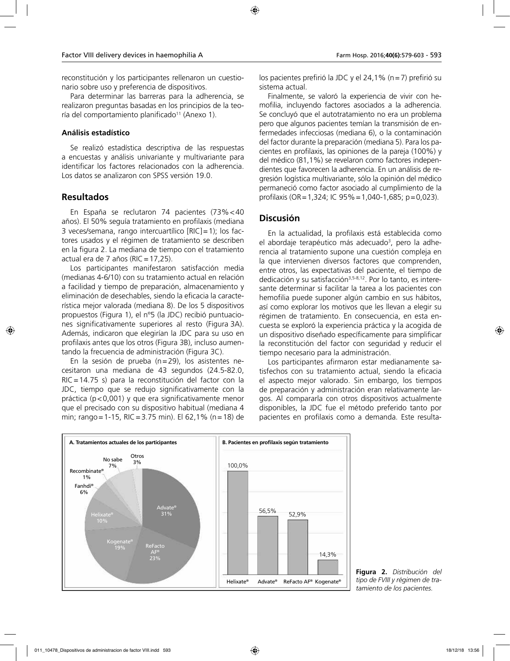reconstitución y los participantes rellenaron un cuestionario sobre uso y preferencia de dispositivos.

Para determinar las barreras para la adherencia, se realizaron preguntas basadas en los principios de la teoría del comportamiento planificado<sup>11</sup> (Anexo 1).

### **Análisis estadístico**

Se realizó estadística descriptiva de las respuestas a encuestas y análisis univariante y multivariante para identificar los factores relacionados con la adherencia. Los datos se analizaron con SPSS versión 19.0.

## **Resultados**

En España se reclutaron 74 pacientes (73%<40 años). El 50% seguía tratamiento en profilaxis (mediana 3 veces/semana, rango intercuartílico [RIC]=1); los factores usados y el régimen de tratamiento se describen en la figura 2. La mediana de tiempo con el tratamiento actual era de 7 años (RIC=17,25).

Los participantes manifestaron satisfacción media (medianas 4-6/10) con su tratamiento actual en relación a facilidad y tiempo de preparación, almacenamiento y eliminación de desechables, siendo la eficacia la característica mejor valorada (mediana 8). De los 5 dispositivos propuestos (Figura 1), el nº5 (la JDC) recibió puntuaciones significativamente superiores al resto (Figura 3A). Además, indicaron que elegirían la JDC para su uso en profilaxis antes que los otros (Figura 3B), incluso aumentando la frecuencia de administración (Figura 3C).

En la sesión de prueba (n=29), los asistentes necesitaron una mediana de 43 segundos (24.5-82.0, RIC=14.75 s) para la reconstitución del factor con la JDC, tiempo que se redujo significativamente con la práctica (p<0,001) y que era significativamente menor que el precisado con su dispositivo habitual (mediana 4 min; rango=1-15, RIC=3.75 min). El 62,1% (n=18) de

los pacientes prefirió la JDC y el 24,1% (n=7) prefirió su sistema actual.

Finalmente, se valoró la experiencia de vivir con hemofilia, incluyendo factores asociados a la adherencia. Se concluyó que el autotratamiento no era un problema pero que algunos pacientes temían la transmisión de enfermedades infecciosas (mediana 6), o la contaminación del factor durante la preparación (mediana 5). Para los pacientes en profilaxis, las opiniones de la pareja (100%) y del médico (81,1%) se revelaron como factores independientes que favorecen la adherencia. En un análisis de regresión logística multivariante, sólo la opinión del médico permaneció como factor asociado al cumplimiento de la profilaxis (OR=1,324; IC 95%=1,040-1,685; p=0,023).

## **Discusión**

En la actualidad, la profilaxis está establecida como el abordaje terapéutico más adecuado<sup>3</sup>, pero la adherencia al tratamiento supone una cuestión compleja en la que intervienen diversos factores que comprenden, entre otros, las expectativas del paciente, el tiempo de dedicación y su satisfacción<sup>3,5-8,12</sup>. Por lo tanto, es interesante determinar si facilitar la tarea a los pacientes con hemofilia puede suponer algún cambio en sus hábitos, así como explorar los motivos que les llevan a elegir su régimen de tratamiento. En consecuencia, en esta encuesta se exploró la experiencia práctica y la acogida de un dispositivo diseñado específicamente para simplificar la reconstitución del factor con seguridad y reducir el tiempo necesario para la administración.

Los participantes afirmaron estar medianamente satisfechos con su tratamiento actual, siendo la eficacia el aspecto mejor valorado. Sin embargo, los tiempos de preparación y administración eran relativamente largos. Al compararla con otros dispositivos actualmente disponibles, la JDC fue el método preferido tanto por pacientes en profilaxis como a demanda. Este resulta-



**Figura 2.** *Distribución del tipo de FVIII y régimen de tratamiento de los pacientes.*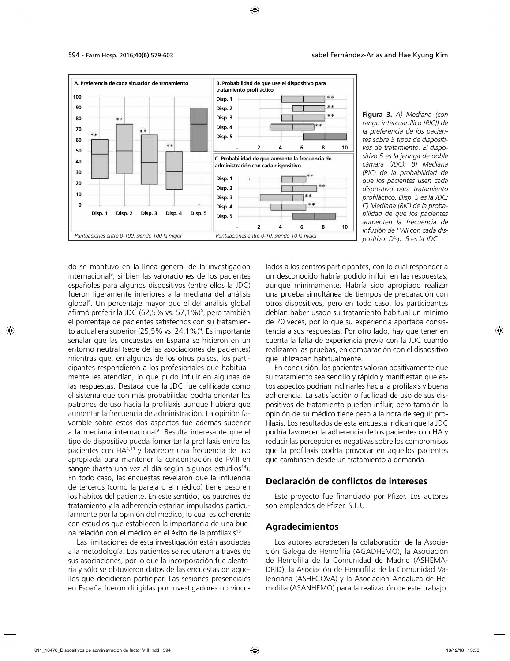

**Figura 3.** *A) Mediana (con rango intercuartílico [RIC]) de la preferencia de los pacientes sobre 5 tipos de dispositivos de tratamiento. El dispositivo 5 es la jeringa de doble cámara (JDC); B) Mediana (RIC) de la probabilidad de que los pacientes usen cada dispositivo para tratamiento profiláctico. Disp. 5 es la JDC; C) Mediana (RIC) de la probabilidad de que los pacientes aumenten la frecuencia de infusión de FVIII con cada dispositivo. Disp. 5 es la JDC.*

do se mantuvo en la línea general de la investigación internacional9 , si bien las valoraciones de los pacientes españoles para algunos dispositivos (entre ellos la JDC) fueron ligeramente inferiores a la mediana del análisis global9 . Un porcentaje mayor que el del análisis global afirmó preferir la JDC (62,5% vs. 57,1%)9 , pero también el porcentaje de pacientes satisfechos con su tratamiento actual era superior (25,5% vs. 24,1%)<sup>9</sup>. Es importante señalar que las encuestas en España se hicieron en un entorno neutral (sede de las asociaciones de pacientes) mientras que, en algunos de los otros países, los participantes respondieron a los profesionales que habitualmente les atendían, lo que pudo influir en algunas de las respuestas. Destaca que la JDC fue calificada como el sistema que con más probabilidad podría orientar los patrones de uso hacia la profilaxis aunque hubiera que aumentar la frecuencia de administración. La opinión favorable sobre estos dos aspectos fue además superior a la mediana internacional<sup>9</sup>. Resulta interesante que el tipo de dispositivo pueda fomentar la profilaxis entre los pacientes con HA4,13 y favorecer una frecuencia de uso apropiada para mantener la concentración de FVIII en sangre (hasta una vez al día según algunos estudios<sup>14</sup>). En todo caso, las encuestas revelaron que la influencia de terceros (como la pareja o el médico) tiene peso en los hábitos del paciente. En este sentido, los patrones de tratamiento y la adherencia estarían impulsados particularmente por la opinión del médico, lo cual es coherente con estudios que establecen la importancia de una buena relación con el médico en el éxito de la profilaxis15.

Las limitaciones de esta investigación están asociadas a la metodología. Los pacientes se reclutaron a través de sus asociaciones, por lo que la incorporación fue aleatoria y sólo se obtuvieron datos de las encuestas de aquellos que decidieron participar. Las sesiones presenciales en España fueron dirigidas por investigadores no vinculados a los centros participantes, con lo cual responder a un desconocido habría podido influir en las respuestas, aunque mínimamente. Habría sido apropiado realizar una prueba simultánea de tiempos de preparación con otros dispositivos, pero en todo caso, los participantes debían haber usado su tratamiento habitual un mínimo de 20 veces, por lo que su experiencia aportaba consistencia a sus respuestas. Por otro lado, hay que tener en cuenta la falta de experiencia previa con la JDC cuando realizaron las pruebas, en comparación con el dispositivo que utilizaban habitualmente.

En conclusión, los pacientes valoran positivamente que su tratamiento sea sencillo y rápido y manifiestan que estos aspectos podrían inclinarles hacia la profilaxis y buena adherencia. La satisfacción o facilidad de uso de sus dispositivos de tratamiento pueden influir, pero también la opinión de su médico tiene peso a la hora de seguir profilaxis. Los resultados de esta encuesta indican que la JDC podría favorecer la adherencia de los pacientes con HA y reducir las percepciones negativas sobre los compromisos que la profilaxis podría provocar en aquellos pacientes que cambiasen desde un tratamiento a demanda.

## **Declaración de conflictos de intereses**

Este proyecto fue financiado por Pfizer. Los autores son empleados de Pfizer, S.L.U.

### **Agradecimientos**

Los autores agradecen la colaboración de la Asociación Galega de Hemofilia (AGADHEMO), la Asociación de Hemofilia de la Comunidad de Madrid (ASHEMA-DRID), la Asociación de Hemofilia de la Comunidad Valenciana (ASHECOVA) y la Asociación Andaluza de Hemofilia (ASANHEMO) para la realización de este trabajo.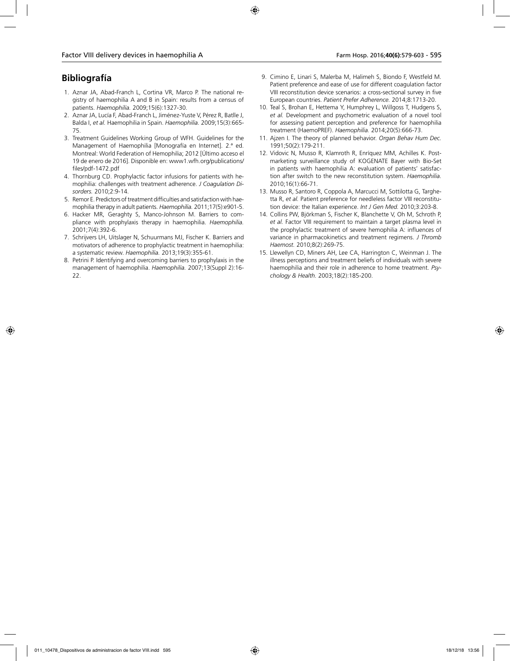## **Bibliografía**

- 1. Aznar JA, Abad-Franch L, Cortina VR, Marco P. The national registry of haemophilia A and B in Spain: results from a census of patients. *Haemophilia.* 2009;15(6):1327-30.
- 2. Aznar JA, Lucía F, Abad-Franch L, Jiménez-Yuste V, Pérez R, Batlle J, Balda I, *et al.* Haemophilia in Spain. *Haemophilia.* 2009;15(3):665- 75.
- 3. Treatment Guidelines Working Group of WFH. Guidelines for the Management of Haemophilia [Monografía en Internet]. 2.ª ed. Montreal: World Federation of Hemophilia; 2012 [Último acceso el 19 de enero de 2016]. Disponible en: www1.wfh.org/publications/ files/pdf-1472.pdf
- 4. Thornburg CD. Prophylactic factor infusions for patients with hemophilia: challenges with treatment adherence. *J Coagulation Disorders.* 2010;2:9-14.
- 5. Remor E. Predictors of treatment difficulties and satisfaction with haemophilia therapy in adult patients. *Haemophilia.* 2011;17(5):e901-5.
- 6. Hacker MR, Geraghty S, Manco-Johnson M. Barriers to compliance with prophylaxis therapy in haemophilia. *Haemophilia.*  2001;7(4):392-6.
- 7. Schrijvers LH, Uitslager N, Schuurmans MJ, Fischer K. Barriers and motivators of adherence to prophylactic treatment in haemophilia: a systematic review. *Haemophilia.* 2013;19(3):355-61.
- 8. Petrini P. Identifying and overcoming barriers to prophylaxis in the management of haemophilia. *Haemophilia.* 2007;13(Suppl 2):16- 22.
- 9. Cimino E, Linari S, Malerba M, Halimeh S, Biondo F, Westfeld M. Patient preference and ease of use for different coagulation factor VIII reconstitution device scenarios: a cross-sectional survey in five European countries. *Patient Prefer Adherence.* 2014;8:1713-20.
- 10. Teal S, Brohan E, Hettema Y, Humphrey L, Willgoss T, Hudgens S, *et al.* Development and psychometric evaluation of a novel tool for assessing patient perception and preference for haemophilia treatment (HaemoPREF). *Haemophilia.* 2014;20(5):666-73.
- 11. Ajzen I. The theory of planned behavior. *Organ Behav Hum Dec.*  1991;50(2):179-211.
- 12. Vidovic N, Musso R, Klamroth R, Enríquez MM, Achilles K. Postmarketing surveillance study of KOGENATE Bayer with Bio-Set in patients with haemophilia A: evaluation of patients' satisfaction after switch to the new reconstitution system. *Haemophilia.*  2010;16(1):66-71.
- 13. Musso R, Santoro R, Coppola A, Marcucci M, Sottilotta G, Targhetta R, *et al.* Patient preference for needleless factor VIII reconstitution device: the Italian experience. *Int J Gen Med.* 2010;3:203-8.
- 14. Collins PW, Björkman S, Fischer K, Blanchette V, Oh M, Schroth P, *et al.* Factor VIII requirement to maintain a target plasma level in the prophylactic treatment of severe hemophilia A: influences of variance in pharmacokinetics and treatment regimens. *J Thromb Haemost.* 2010;8(2):269-75.
- 15. Llewellyn CD, Miners AH, Lee CA, Harrington C, Weinman J. The illness perceptions and treatment beliefs of individuals with severe haemophilia and their role in adherence to home treatment. *Psychology & Health.* 2003;18(2):185-200.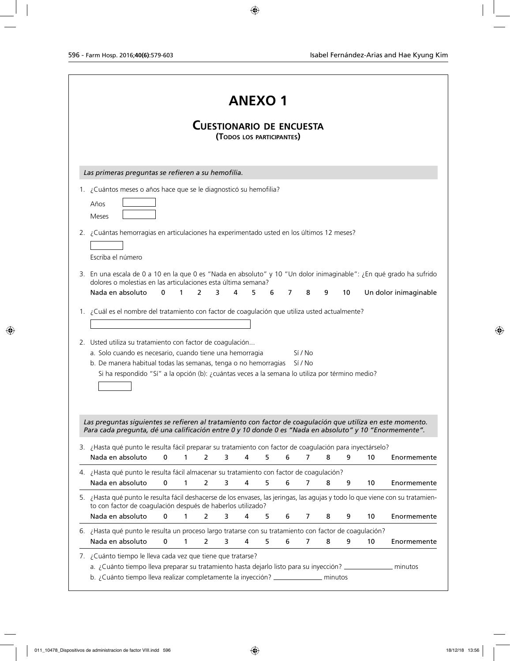|                                                                                                                                                                                               |             |   |                |   | <b>ANEXO1</b>                                                |   |   |                |   |    |    |                                                          |
|-----------------------------------------------------------------------------------------------------------------------------------------------------------------------------------------------|-------------|---|----------------|---|--------------------------------------------------------------|---|---|----------------|---|----|----|----------------------------------------------------------|
|                                                                                                                                                                                               |             |   |                |   | <b>CUESTIONARIO DE ENCUESTA</b><br>(TODOS LOS PARTICIPANTES) |   |   |                |   |    |    |                                                          |
| Las primeras preguntas se refieren a su hemofilia.                                                                                                                                            |             |   |                |   |                                                              |   |   |                |   |    |    |                                                          |
| 1. ¿Cuántos meses o años hace que se le diagnosticó su hemofilia?                                                                                                                             |             |   |                |   |                                                              |   |   |                |   |    |    |                                                          |
| Años<br>Meses                                                                                                                                                                                 |             |   |                |   |                                                              |   |   |                |   |    |    |                                                          |
| 2. ¿Cuántas hemorragias en articulaciones ha experimentado usted en los últimos 12 meses?                                                                                                     |             |   |                |   |                                                              |   |   |                |   |    |    |                                                          |
|                                                                                                                                                                                               |             |   |                |   |                                                              |   |   |                |   |    |    |                                                          |
| Escriba el número                                                                                                                                                                             |             |   |                |   |                                                              |   |   |                |   |    |    |                                                          |
| 3. En una escala de 0 a 10 en la que 0 es "Nada en absoluto" y 10 "Un dolor inimaginable": ¿En qué grado ha sufrido<br>dolores o molestias en las articulaciones esta última semana?          |             |   |                |   |                                                              |   |   |                |   |    |    |                                                          |
| Nada en absoluto                                                                                                                                                                              | 0           | 1 | 2              | 3 | 4<br>5.                                                      | 6 | 7 | 8              | 9 | 10 |    | Un dolor inimaginable                                    |
| 1. ¿Cuál es el nombre del tratamiento con factor de coagulación que utiliza usted actualmente?                                                                                                |             |   |                |   |                                                              |   |   |                |   |    |    |                                                          |
| 2. Usted utiliza su tratamiento con factor de coagulación                                                                                                                                     |             |   |                |   |                                                              |   |   |                |   |    |    |                                                          |
|                                                                                                                                                                                               |             |   |                |   |                                                              |   |   | Sí / No        |   |    |    |                                                          |
| a. Solo cuando es necesario, cuando tiene una hemorragia                                                                                                                                      |             |   |                |   |                                                              |   |   | Sí / No        |   |    |    |                                                          |
| b. De manera habitual todas las semanas, tenga o no hemorragias<br>Si ha respondido "Sí" a la opción (b): ¿cuántas veces a la semana lo utiliza por término medio?                            |             |   |                |   |                                                              |   |   |                |   |    |    |                                                          |
|                                                                                                                                                                                               |             |   |                |   |                                                              |   |   |                |   |    |    |                                                          |
|                                                                                                                                                                                               |             |   |                |   |                                                              |   |   |                |   |    |    |                                                          |
| Las preguntas siguientes se refieren al tratamiento con factor de coagulación que utiliza en este momento.                                                                                    |             |   |                |   |                                                              |   |   |                |   |    |    |                                                          |
| Para cada pregunta, dé una calificación entre 0 y 10 donde 0 es "Nada en absoluto" y 10 "Enormemente".                                                                                        |             |   |                |   |                                                              |   |   |                |   |    |    |                                                          |
| 3. ¿Hasta qué punto le resulta fácil preparar su tratamiento con factor de coagulación para inyectárselo?                                                                                     |             |   |                |   |                                                              |   |   |                |   |    |    |                                                          |
| Nada en absoluto                                                                                                                                                                              | $\mathbf 0$ | 1 | 2              | 3 | 4                                                            | 5 | 6 | 7              | 8 | 9  | 10 |                                                          |
| 4. ¿Hasta qué punto le resulta fácil almacenar su tratamiento con factor de coagulación?                                                                                                      |             |   |                |   |                                                              |   |   |                |   |    |    |                                                          |
| Nada en absoluto                                                                                                                                                                              | $\mathbf 0$ | 1 | 2              | 3 | 4                                                            | 5 | 6 | 7              | 8 | 9  | 10 |                                                          |
| 5. ¿Hasta qué punto le resulta fácil deshacerse de los envases, las jeringas, las agujas y todo lo que viene con su tratamien-<br>to con factor de coagulación después de haberlos utilizado? |             |   |                |   |                                                              |   |   |                |   |    |    |                                                          |
| Nada en absoluto                                                                                                                                                                              | $\mathbf 0$ | 1 | $\overline{2}$ | 3 | 4                                                            | 5 | 6 | 7              | 8 | 9  | 10 |                                                          |
| 6. ¿Hasta qué punto le resulta un proceso largo tratarse con su tratamiento con factor de coagulación?                                                                                        |             |   |                |   |                                                              |   |   |                |   |    |    |                                                          |
| Nada en absoluto                                                                                                                                                                              | $\mathbf 0$ | 1 | $\overline{2}$ | 3 | 4                                                            | 5 | 6 | $\overline{7}$ | 8 | 9  | 10 | Enormemente<br>Enormemente<br>Enormemente<br>Enormemente |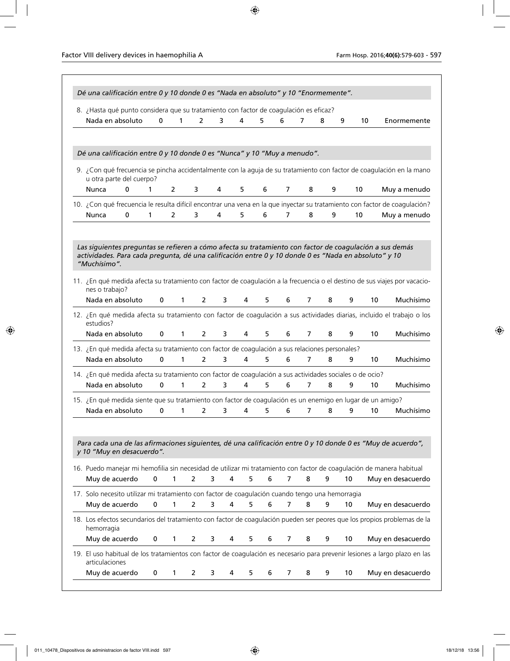| Dé una calificación entre 0 y 10 donde 0 es "Nada en absoluto" y 10 "Enormemente".                                                                                                                                                                                   |              |                |                |   |         |   |                |                |   |    |                 |                   |
|----------------------------------------------------------------------------------------------------------------------------------------------------------------------------------------------------------------------------------------------------------------------|--------------|----------------|----------------|---|---------|---|----------------|----------------|---|----|-----------------|-------------------|
| 8. ¿Hasta qué punto considera que su tratamiento con factor de coagulación es eficaz?                                                                                                                                                                                |              |                |                |   |         |   |                |                |   |    |                 |                   |
| Nada en absoluto                                                                                                                                                                                                                                                     | $\mathbf{0}$ | $\mathbf{1}$   | $\overline{2}$ | 3 | 4       | 5 | 6              | 7              | 8 | 9  | 10              | Enormemente       |
| Dé una calificación entre 0 y 10 donde 0 es "Nunca" y 10 "Muy a menudo".                                                                                                                                                                                             |              |                |                |   |         |   |                |                |   |    |                 |                   |
| 9. ¿Con qué frecuencia se pincha accidentalmente con la aguja de su tratamiento con factor de coagulación en la mano<br>u otra parte del cuerpo?                                                                                                                     |              |                |                |   |         |   |                |                |   |    |                 |                   |
| $\mathbf 0$<br>Nunca                                                                                                                                                                                                                                                 | $\mathbf{1}$ | $\overline{2}$ | 3              | 4 | 5       | 6 | $\overline{7}$ | 8              | 9 |    | 10              | Muy a menudo      |
| 10. ¿Con qué frecuencia le resulta difícil encontrar una vena en la que inyectar su tratamiento con factor de coagulación?                                                                                                                                           |              |                |                |   |         |   |                |                |   |    |                 |                   |
| Nunca<br>0                                                                                                                                                                                                                                                           | 1            | $\overline{2}$ | 3              | 4 | 5       | 6 | 7              | 8              | 9 |    | 10              | Muy a menudo      |
| actividades. Para cada pregunta, dé una calificación entre 0 y 10 donde 0 es "Nada en absoluto" y 10<br>"Muchísimo".<br>11. ¿En qué medida afecta su tratamiento con factor de coagulación a la frecuencia o el destino de sus viajes por vacacio-<br>nes o trabajo? |              |                |                |   |         |   |                |                |   |    |                 |                   |
| Nada en absoluto                                                                                                                                                                                                                                                     | $\mathbf 0$  | $\mathbf{1}$   | 2              | 3 | 4       | 5 | 6              | 7              | 8 | 9  | 10              | Muchísimo         |
| 12. ¿En qué medida afecta su tratamiento con factor de coagulación a sus actividades diarias, incluido el trabajo o los<br>estudios?                                                                                                                                 |              |                |                |   |         |   |                |                |   |    |                 |                   |
| Nada en absoluto                                                                                                                                                                                                                                                     | $\mathbf 0$  | $\mathbf{1}$   | $\overline{2}$ | 3 | 4       | 5 | 6              | 7              | 8 | 9  | 10              | Muchísimo         |
| 13. ¿En qué medida afecta su tratamiento con factor de coagulación a sus relaciones personales?                                                                                                                                                                      |              |                |                |   |         |   |                |                |   |    |                 |                   |
| Nada en absoluto                                                                                                                                                                                                                                                     | 0            | 1              | $\overline{2}$ | 3 | 4       | 5 | 6              | 7              | 8 | 9  | 10              | Muchísimo         |
| 14. ¿En qué medida afecta su tratamiento con factor de coagulación a sus actividades sociales o de ocio?<br>Nada en absoluto                                                                                                                                         | $\mathbf{0}$ | $\mathbf{1}$   | $\overline{2}$ | 3 | 4       | 5 | 6              | $\overline{7}$ | 8 | 9  | 10 <sup>°</sup> | Muchísimo         |
| 15. ¿En qué medida siente que su tratamiento con factor de coagulación es un enemigo en lugar de un amigo?                                                                                                                                                           |              |                |                |   |         |   |                |                |   |    |                 |                   |
| Nada en absoluto                                                                                                                                                                                                                                                     | 0            | 1              | 2              | 3 | 4       | 5 | 6              | 7              | 8 | 9  | 10              | Muchísimo         |
| Para cada una de las afirmaciones siguientes, dé una calificación entre 0 y 10 donde 0 es "Muy de acuerdo",<br>y 10 "Muy en desacuerdo".                                                                                                                             |              |                |                |   |         |   |                |                |   |    |                 |                   |
| 16. Puedo manejar mi hemofilia sin necesidad de utilizar mi tratamiento con factor de coagulación de manera habitual<br>Muy de acuerdo                                                                                                                               | 0            | 1              | 2              | 3 | 4<br>5  | 6 | 7              | 8              | 9 | 10 |                 | Muy en desacuerdo |
| 17. Solo necesito utilizar mi tratamiento con factor de coagulación cuando tengo una hemorragia                                                                                                                                                                      |              |                |                |   |         |   |                |                |   |    |                 |                   |
| Muy de acuerdo                                                                                                                                                                                                                                                       | 0            | 1              | 2              | 3 | 4<br>5  | 6 | $\overline{7}$ | 8              | 9 | 10 |                 | Muy en desacuerdo |
| 18. Los efectos secundarios del tratamiento con factor de coagulación pueden ser peores que los propios problemas de la<br>hemorragia                                                                                                                                |              |                |                |   |         |   |                |                |   |    |                 |                   |
| Muy de acuerdo                                                                                                                                                                                                                                                       | 0            | 1              | 2              | 3 | 4<br>5. | 6 | 7              | 8              | 9 | 10 |                 | Muy en desacuerdo |
| 19. El uso habitual de los tratamientos con factor de coagulación es necesario para prevenir lesiones a largo plazo en las<br>articulaciones                                                                                                                         |              |                |                |   |         |   |                |                |   |    |                 |                   |
|                                                                                                                                                                                                                                                                      |              |                |                |   |         |   |                |                |   |    |                 |                   |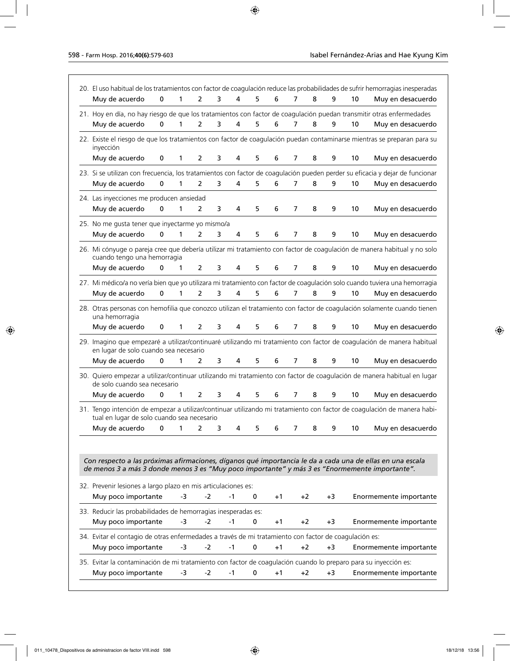| Muy de acuerdo                                                                                                                                                                                              | $\bf{0}$    | 1            | $\overline{2}$ | 3 | 4    | 5           | 6    | 7              | 8    | 9    | 10 | Muy en desacuerdo                                                                                                            |
|-------------------------------------------------------------------------------------------------------------------------------------------------------------------------------------------------------------|-------------|--------------|----------------|---|------|-------------|------|----------------|------|------|----|------------------------------------------------------------------------------------------------------------------------------|
|                                                                                                                                                                                                             |             |              |                |   |      |             |      |                |      |      |    | 21. Hoy en día, no hay riesgo de que los tratamientos con factor de coagulación puedan transmitir otras enfermedades         |
| Muy de acuerdo                                                                                                                                                                                              | $\mathbf 0$ | 1            | $\overline{2}$ | 3 | 4    | 5           | 6    | 7              | 8    | 9    | 10 | Muy en desacuerdo                                                                                                            |
| inyección                                                                                                                                                                                                   |             |              |                |   |      |             |      |                |      |      |    | 22. Existe el riesgo de que los tratamientos con factor de coagulación puedan contaminarse mientras se preparan para su      |
| Muy de acuerdo                                                                                                                                                                                              | 0           | 1            | 2              | 3 | 4    | 5           | 6    | 7              | 8    | 9    | 10 | Muy en desacuerdo                                                                                                            |
|                                                                                                                                                                                                             |             |              |                |   |      |             |      |                |      |      |    | 23. Si se utilizan con frecuencia, los tratamientos con factor de coagulación pueden perder su eficacia y dejar de funcionar |
| Muy de acuerdo                                                                                                                                                                                              | $\mathbf 0$ | 1            | $\overline{2}$ | 3 | 4    | 5           | 6    | 7              | 8    | 9    | 10 | Muy en desacuerdo                                                                                                            |
| 24. Las inyecciones me producen ansiedad                                                                                                                                                                    |             |              |                |   |      |             |      |                |      |      |    |                                                                                                                              |
| Muy de acuerdo                                                                                                                                                                                              | $\mathbf 0$ | 1            | $\overline{2}$ | 3 | 4    | 5           | 6    | 7              | 8    | 9    | 10 | Muy en desacuerdo                                                                                                            |
| 25. No me gusta tener que inyectarme yo mismo/a                                                                                                                                                             |             |              |                |   |      |             |      |                |      |      |    |                                                                                                                              |
| Muy de acuerdo                                                                                                                                                                                              | 0           | 1            | 2              | 3 | 4    | 5           | 6    | 7              | 8    | 9    | 10 | Muy en desacuerdo                                                                                                            |
|                                                                                                                                                                                                             |             |              |                |   |      |             |      |                |      |      |    | 26. Mi cónyuge o pareja cree que debería utilizar mi tratamiento con factor de coagulación de manera habitual y no solo      |
| cuando tengo una hemorragia                                                                                                                                                                                 |             |              |                |   |      |             |      |                |      |      |    |                                                                                                                              |
| Muy de acuerdo                                                                                                                                                                                              | $\mathbf 0$ | 1            | $\overline{2}$ | 3 | 4    | 5           | 6    | 7              | 8    | 9    | 10 | Muy en desacuerdo                                                                                                            |
|                                                                                                                                                                                                             |             |              |                |   |      |             |      |                |      |      |    | 27. Mi médico/a no vería bien que yo utilizara mi tratamiento con factor de coagulación solo cuando tuviera una hemorragia   |
| Muy de acuerdo                                                                                                                                                                                              | $\mathbf 0$ | 1            | 2              | 3 | 4    | 5           | 6    | 7              | 8    | 9    | 10 | Muy en desacuerdo                                                                                                            |
| una hemorragia                                                                                                                                                                                              |             |              |                |   |      |             |      |                |      |      |    | 28. Otras personas con hemofilia que conozco utilizan el tratamiento con factor de coagulación solamente cuando tienen       |
| Muy de acuerdo                                                                                                                                                                                              | 0           | $\mathbf{1}$ | 2              | 3 | 4    | 5           | 6    | $\overline{7}$ | 8    | 9    | 10 | Muy en desacuerdo                                                                                                            |
| en lugar de solo cuando sea necesario                                                                                                                                                                       |             |              |                |   |      |             |      |                |      |      |    | 29. Imagino que empezaré a utilizar/continuaré utilizando mi tratamiento con factor de coagulación de manera habitual        |
| Muy de acuerdo                                                                                                                                                                                              | $\mathbf 0$ | $\mathbf{1}$ | $\overline{2}$ | 3 | 4    | 5           | 6    | $\overline{7}$ | 8    | 9    | 10 | Muy en desacuerdo                                                                                                            |
| de solo cuando sea necesario                                                                                                                                                                                |             |              |                |   |      |             |      |                |      |      |    | 30. Quiero empezar a utilizar/continuar utilizando mi tratamiento con factor de coagulación de manera habitual en lugar      |
| Muy de acuerdo                                                                                                                                                                                              | 0           | $\mathbf{1}$ | $\overline{2}$ | 3 | 4    | 5           | 6    | 7              | 8    | 9    | 10 | Muy en desacuerdo                                                                                                            |
| tual en lugar de solo cuando sea necesario                                                                                                                                                                  |             |              |                |   |      |             |      |                |      |      |    | 31. Tengo intención de empezar a utilizar/continuar utilizando mi tratamiento con factor de coagulación de manera habi-      |
| Muy de acuerdo                                                                                                                                                                                              | 0           | 1            | 2              | 3 | 4    | 5           | 6    | 7              | 8    | 9    | 10 | Muy en desacuerdo                                                                                                            |
|                                                                                                                                                                                                             |             |              |                |   |      |             |      |                |      |      |    |                                                                                                                              |
| Con respecto a las próximas afirmaciones, díganos qué importancia le da a cada una de ellas en una escala<br>de menos 3 a más 3 donde menos 3 es "Muy poco importante" y más 3 es "Enormemente importante". |             |              |                |   |      |             |      |                |      |      |    |                                                                                                                              |
| 32. Prevenir lesiones a largo plazo en mis articulaciones es:                                                                                                                                               |             |              |                |   |      |             |      |                |      |      |    |                                                                                                                              |
| Muy poco importante                                                                                                                                                                                         |             | -3           | -2             |   | -1   | 0           | $+1$ |                | $+2$ | +3   |    | Enormemente importante                                                                                                       |
| 33. Reducir las probabilidades de hemorragias inesperadas es:                                                                                                                                               |             |              |                |   |      |             |      |                |      |      |    |                                                                                                                              |
| Muy poco importante                                                                                                                                                                                         |             | $-3$         | $-2$           |   | $-1$ | 0           | $+1$ |                | +2   | $+3$ |    | Enormemente importante                                                                                                       |
| 34. Evitar el contagio de otras enfermedades a través de mi tratamiento con factor de coagulación es:                                                                                                       |             |              |                |   |      |             |      |                |      |      |    |                                                                                                                              |
| Muy poco importante                                                                                                                                                                                         |             | -3           | $-2$           |   | $-1$ | 0           | $+1$ |                | $+2$ | $+3$ |    | Enormemente importante                                                                                                       |
|                                                                                                                                                                                                             |             |              |                |   |      |             |      |                |      |      |    |                                                                                                                              |
| 35. Evitar la contaminación de mi tratamiento con factor de coagulación cuando lo preparo para su inyección es:                                                                                             |             |              |                |   |      |             |      |                |      |      |    |                                                                                                                              |
| Muy poco importante                                                                                                                                                                                         |             | -3           | -2             |   | $-1$ | $\mathbf 0$ | $+1$ |                | $+2$ | $+3$ |    | Enormemente importante                                                                                                       |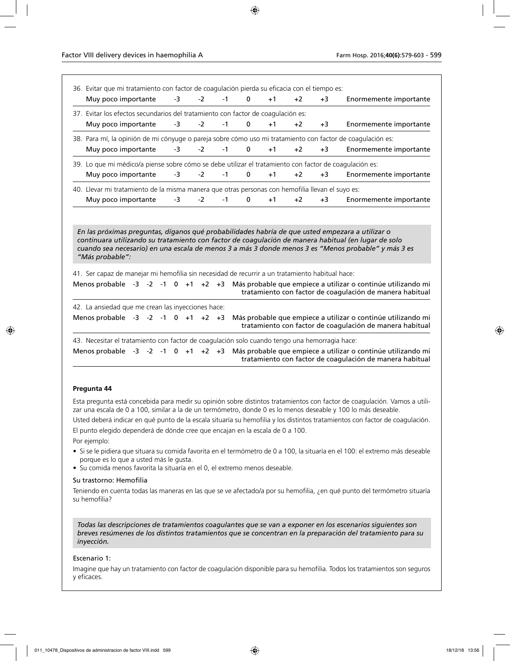| 36. Evitar que mi tratamiento con factor de coagulación pierda su eficacia con el tiempo es:           |  |      |      |      |              |      |      |      |                                                                                                                                                                                                        |
|--------------------------------------------------------------------------------------------------------|--|------|------|------|--------------|------|------|------|--------------------------------------------------------------------------------------------------------------------------------------------------------------------------------------------------------|
| Muy poco importante                                                                                    |  | $-3$ | $-2$ | $-1$ | $\mathbf 0$  | $+1$ | $+2$ | $+3$ | Enormemente importante                                                                                                                                                                                 |
| 37. Evitar los efectos secundarios del tratamiento con factor de coagulación es:                       |  |      |      |      |              |      |      |      |                                                                                                                                                                                                        |
| Muy poco importante                                                                                    |  | -3   | $-2$ | $-1$ | $\mathbf 0$  | $+1$ | $+2$ | $+3$ | Enormemente importante                                                                                                                                                                                 |
|                                                                                                        |  |      |      |      |              |      |      |      | 38. Para mí, la opinión de mi cónyuge o pareja sobre cómo uso mi tratamiento con factor de coagulación es:                                                                                             |
| Muy poco importante                                                                                    |  | $-3$ | $-2$ | $-1$ | $\mathbf{0}$ | $+1$ | $+2$ | $+3$ | Enormemente importante                                                                                                                                                                                 |
| 39. Lo que mi médico/a piense sobre cómo se debe utilizar el tratamiento con factor de coagulación es: |  |      |      |      |              |      |      |      |                                                                                                                                                                                                        |
| Muy poco importante                                                                                    |  | -3   | $-2$ | $-1$ | 0            | $+1$ | $+2$ | $+3$ | Enormemente importante                                                                                                                                                                                 |
| 40. Llevar mi tratamiento de la misma manera que otras personas con hemofilia llevan el suyo es:       |  |      |      |      |              |      |      |      |                                                                                                                                                                                                        |
| Muy poco importante                                                                                    |  | $-3$ | $-2$ | $-1$ | $\mathbf 0$  | $+1$ | $+2$ | $+3$ | Enormemente importante                                                                                                                                                                                 |
|                                                                                                        |  |      |      |      |              |      |      |      | En las próximas preguntas, díganos qué probabilidades habría de que usted empezara a utilizar o<br>continuara utilizando su tratamiento con factor de coagulación de manera habitual (en lugar de solo |
| "Más probable":                                                                                        |  |      |      |      |              |      |      |      | cuando sea necesario) en una escala de menos 3 a más 3 donde menos 3 es "Menos probable" y más 3 es                                                                                                    |
| 41. Ser capaz de manejar mi hemofilia sin necesidad de recurrir a un tratamiento habitual hace:        |  |      |      |      |              |      |      |      |                                                                                                                                                                                                        |
| Menos probable $-3$ $-2$ $-1$ 0 $+1$ $+2$ $+3$                                                         |  |      |      |      |              |      |      |      | Más probable que empiece a utilizar o continúe utilizando mi<br>tratamiento con factor de coagulación de manera habitual                                                                               |
| 42. La ansiedad que me crean las inyecciones hace:                                                     |  |      |      |      |              |      |      |      |                                                                                                                                                                                                        |
| Menos probable $-3$ $-2$ $-1$ 0 $+1$ $+2$ $+3$                                                         |  |      |      |      |              |      |      |      | Más probable que empiece a utilizar o continúe utilizando mi<br>tratamiento con factor de coagulación de manera habitual                                                                               |
| 43. Necesitar el tratamiento con factor de coagulación solo cuando tengo una hemorragia hace:          |  |      |      |      |              |      |      |      |                                                                                                                                                                                                        |

### **Pregunta 44**

Esta pregunta está concebida para medir su opinión sobre distintos tratamientos con factor de coagulación. Vamos a utilizar una escala de 0 a 100, similar a la de un termómetro, donde 0 es lo menos deseable y 100 lo más deseable.

Usted deberá indicar en qué punto de la escala situaría su hemofilia y los distintos tratamientos con factor de coagulación.

El punto elegido dependerá de dónde cree que encajan en la escala de 0 a 100. Por ejemplo:

- Si se le pidiera que situara su comida favorita en el termómetro de 0 a 100, la situaría en el 100: el extremo más deseable porque es lo que a usted más le gusta.
- Su comida menos favorita la situaría en el 0, el extremo menos deseable.

### Su trastorno: Hemofilia

Teniendo en cuenta todas las maneras en las que se ve afectado/a por su hemofilia, ¿en qué punto del termómetro situaría su hemofilia?

*Todas las descripciones de tratamientos coagulantes que se van a exponer en los escenarios siguientes son breves resúmenes de los distintos tratamientos que se concentran en la preparación del tratamiento para su inyección.*

### Escenario 1:

Imagine que hay un tratamiento con factor de coagulación disponible para su hemofilia. Todos los tratamientos son seguros y eficaces.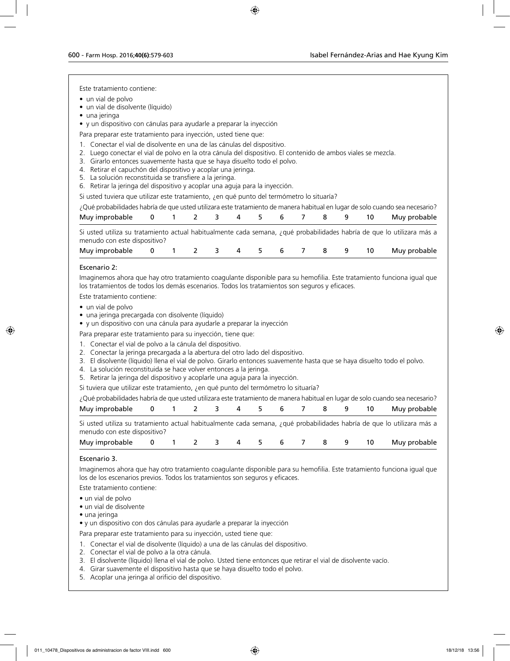Este tratamiento contiene:

- un vial de polvo
- un vial de disolvente (líquido)
- una jeringa

• y un dispositivo con cánulas para ayudarle a preparar la inyección

Para preparar este tratamiento para inyección, usted tiene que:

- 1. Conectar el vial de disolvente en una de las cánulas del dispositivo.
- 2. Luego conectar el vial de polvo en la otra cánula del dispositivo. El contenido de ambos viales se mezcla.
- 3. Girarlo entonces suavemente hasta que se haya disuelto todo el polvo.
- 4. Retirar el capuchón del dispositivo y acoplar una jeringa.
- 5. La solución reconstituida se transfiere a la jeringa.
- 6. Retirar la jeringa del dispositivo y acoplar una aguja para la inyección.

Si usted tuviera que utilizar este tratamiento, ¿en qué punto del termómetro lo situaría?

| ¿Qué probabilidades habría de que usted utilizara este tratamiento de manera habitual en lugar de solo cuando sea necesario?                           |  |  |  |  |  |              |
|--------------------------------------------------------------------------------------------------------------------------------------------------------|--|--|--|--|--|--------------|
| Muy improbable 0 1 2 3 4 5 6 7 8 9                                                                                                                     |  |  |  |  |  | Muy probable |
| Si usted utiliza su tratamiento actual habitualmente cada semana, ¿qué probabilidades habría de que lo utilizara más a<br>menudo con este dispositivo? |  |  |  |  |  |              |
| Muy improbable 0 1 2 3 4 5 6 7 8 9                                                                                                                     |  |  |  |  |  | Muy probable |

### Escenario 2:

Imaginemos ahora que hay otro tratamiento coagulante disponible para su hemofilia. Este tratamiento funciona igual que los tratamientos de todos los demás escenarios. Todos los tratamientos son seguros y eficaces.

Este tratamiento contiene:

- un vial de polvo
- una jeringa precargada con disolvente (líquido)
- y un dispositivo con una cánula para ayudarle a preparar la inyección

Para preparar este tratamiento para su inyección, tiene que:

- 1. Conectar el vial de polvo a la cánula del dispositivo.
- 2. Conectar la jeringa precargada a la abertura del otro lado del dispositivo.
- 3. El disolvente (líquido) llena el vial de polvo. Girarlo entonces suavemente hasta que se haya disuelto todo el polvo.
- 4. La solución reconstituida se hace volver entonces a la jeringa.
- 5. Retirar la jeringa del dispositivo y acoplarle una aguja para la inyección.
- Si tuviera que utilizar este tratamiento, ¿en qué punto del termómetro lo situaría?

¿Qué probabilidades habría de que usted utilizara este tratamiento de manera habitual en lugar de solo cuando sea necesario?

| Muy improbable                                                                                                                                         | 0 1 2 3 4 5 6 7 |  |  |  | 89 | 10 | Muy probable |
|--------------------------------------------------------------------------------------------------------------------------------------------------------|-----------------|--|--|--|----|----|--------------|
| Si usted utiliza su tratamiento actual habitualmente cada semana, ¿qué probabilidades habría de que lo utilizara más a<br>menudo con este dispositivo? |                 |  |  |  |    |    |              |
| Muy improbable 0 1 2 3 4 5 6 7 8 9                                                                                                                     |                 |  |  |  |    | 10 | Muy probable |

### Escenario 3.

Imaginemos ahora que hay otro tratamiento coagulante disponible para su hemofilia. Este tratamiento funciona igual que los de los escenarios previos. Todos los tratamientos son seguros y eficaces.

Este tratamiento contiene:

- un vial de polvo
- un vial de disolvente
- una jeringa
- y un dispositivo con dos cánulas para ayudarle a preparar la inyección

Para preparar este tratamiento para su inyección, usted tiene que:

- 1. Conectar el vial de disolvente (líquido) a una de las cánulas del dispositivo.
- 2. Conectar el vial de polvo a la otra cánula.
- 3. El disolvente (líquido) llena el vial de polvo. Usted tiene entonces que retirar el vial de disolvente vacío.
- 4. Girar suavemente el dispositivo hasta que se haya disuelto todo el polvo.
- 5. Acoplar una jeringa al orificio del dispositivo.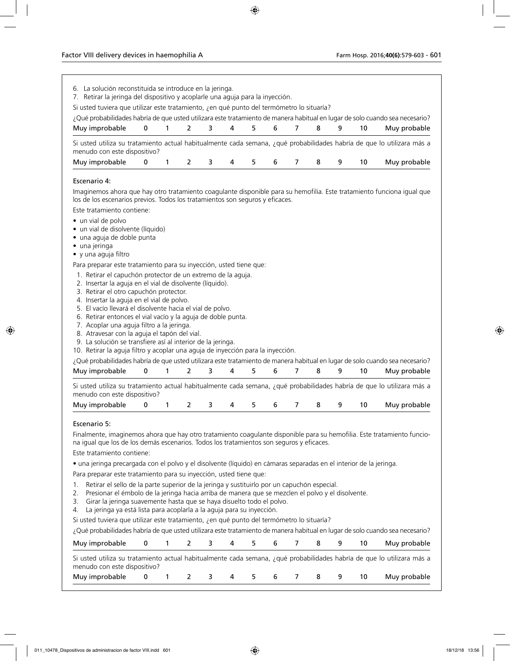| 7. Retirar la jeringa del dispositivo y acoplarle una aguja para la inyección.                                                                                                                          | 6. La solución reconstituida se introduce en la jeringa. |              |                |   |   |    |   |                |   |   |    |              |
|---------------------------------------------------------------------------------------------------------------------------------------------------------------------------------------------------------|----------------------------------------------------------|--------------|----------------|---|---|----|---|----------------|---|---|----|--------------|
| Si usted tuviera que utilizar este tratamiento, ¿en qué punto del termómetro lo situaría?                                                                                                               |                                                          |              |                |   |   |    |   |                |   |   |    |              |
| ¿Qué probabilidades habría de que usted utilizara este tratamiento de manera habitual en lugar de solo cuando sea necesario?<br>Muy improbable                                                          | 0                                                        | $\mathbf{1}$ | $\overline{2}$ | 3 | 4 | 5  | 6 | $\overline{7}$ | 8 | 9 | 10 | Muy probable |
| Si usted utiliza su tratamiento actual habitualmente cada semana, ¿qué probabilidades habría de que lo utilizara más a                                                                                  |                                                          |              |                |   |   |    |   |                |   |   |    |              |
| menudo con este dispositivo?<br>Muy improbable                                                                                                                                                          | 0                                                        | 1            | 2              | 3 | 4 | 5  | 6 | 7              | 8 | 9 | 10 | Muy probable |
|                                                                                                                                                                                                         |                                                          |              |                |   |   |    |   |                |   |   |    |              |
| Escenario 4:                                                                                                                                                                                            |                                                          |              |                |   |   |    |   |                |   |   |    |              |
| Imaginemos ahora que hay otro tratamiento coagulante disponible para su hemofilia. Este tratamiento funciona igual que<br>los de los escenarios previos. Todos los tratamientos son seguros y eficaces. |                                                          |              |                |   |   |    |   |                |   |   |    |              |
| Este tratamiento contiene:                                                                                                                                                                              |                                                          |              |                |   |   |    |   |                |   |   |    |              |
| • un vial de polvo                                                                                                                                                                                      |                                                          |              |                |   |   |    |   |                |   |   |    |              |
| · un vial de disolvente (líquido)                                                                                                                                                                       |                                                          |              |                |   |   |    |   |                |   |   |    |              |
| · una aguja de doble punta<br>• una jeringa                                                                                                                                                             |                                                          |              |                |   |   |    |   |                |   |   |    |              |
| • y una aguja filtro                                                                                                                                                                                    |                                                          |              |                |   |   |    |   |                |   |   |    |              |
| Para preparar este tratamiento para su inyección, usted tiene que:                                                                                                                                      |                                                          |              |                |   |   |    |   |                |   |   |    |              |
| 1. Retirar el capuchón protector de un extremo de la aguja.                                                                                                                                             |                                                          |              |                |   |   |    |   |                |   |   |    |              |
| 2. Insertar la aguja en el vial de disolvente (líquido).<br>3. Retirar el otro capuchón protector.                                                                                                      |                                                          |              |                |   |   |    |   |                |   |   |    |              |
| 4. Insertar la aguja en el vial de polvo.                                                                                                                                                               |                                                          |              |                |   |   |    |   |                |   |   |    |              |
| 5. El vacío llevará el disolvente hacia el vial de polvo.                                                                                                                                               |                                                          |              |                |   |   |    |   |                |   |   |    |              |
| 6. Retirar entonces el vial vacío y la aguja de doble punta.<br>7. Acoplar una aguja filtro a la jeringa.                                                                                               |                                                          |              |                |   |   |    |   |                |   |   |    |              |
| 8. Atravesar con la aguja el tapón del vial.                                                                                                                                                            |                                                          |              |                |   |   |    |   |                |   |   |    |              |
| 9. La solución se transfiere así al interior de la jeringa.                                                                                                                                             |                                                          |              |                |   |   |    |   |                |   |   |    |              |
| 10. Retirar la aguja filtro y acoplar una aguja de inyección para la inyección.                                                                                                                         |                                                          |              |                |   |   |    |   |                |   |   |    |              |
| ¿Qué probabilidades habría de que usted utilizara este tratamiento de manera habitual en lugar de solo cuando sea necesario?<br>Muy improbable                                                          | 0                                                        |              |                |   |   |    |   |                |   |   |    |              |
|                                                                                                                                                                                                         |                                                          | $\mathbf{1}$ | $\overline{2}$ | 3 | 4 | 5. | 6 | $\overline{7}$ | 8 | 9 | 10 | Muy probable |
|                                                                                                                                                                                                         |                                                          |              |                |   |   |    |   |                |   |   |    |              |
| Si usted utiliza su tratamiento actual habitualmente cada semana, ¿qué probabilidades habría de que lo utilizara más a<br>menudo con este dispositivo?                                                  |                                                          |              |                |   |   |    |   |                |   |   |    |              |
| Muy improbable                                                                                                                                                                                          | 0                                                        | 1            | 2              | 3 | 4 | 5  | 6 | 7              | 8 | 9 | 10 | Muy probable |
| Escenario 5:                                                                                                                                                                                            |                                                          |              |                |   |   |    |   |                |   |   |    |              |
| Finalmente, imaginemos ahora que hay otro tratamiento coagulante disponible para su hemofilia. Este tratamiento funcio-                                                                                 |                                                          |              |                |   |   |    |   |                |   |   |    |              |
| na igual que los de los demás escenarios. Todos los tratamientos son seguros y eficaces.<br>Este tratamiento contiene:                                                                                  |                                                          |              |                |   |   |    |   |                |   |   |    |              |
|                                                                                                                                                                                                         |                                                          |              |                |   |   |    |   |                |   |   |    |              |
| · una jeringa precargada con el polvo y el disolvente (líquido) en cámaras separadas en el interior de la jeringa.<br>Para preparar este tratamiento para su inyección, usted tiene que:                |                                                          |              |                |   |   |    |   |                |   |   |    |              |
| Retirar el sello de la parte superior de la jeringa y sustituirlo por un capuchón especial.<br>1.                                                                                                       |                                                          |              |                |   |   |    |   |                |   |   |    |              |
| Presionar el émbolo de la jeringa hacia arriba de manera que se mezclen el polvo y el disolvente.<br>2.                                                                                                 |                                                          |              |                |   |   |    |   |                |   |   |    |              |
| Girar la jeringa suavemente hasta que se haya disuelto todo el polvo.<br>3.                                                                                                                             |                                                          |              |                |   |   |    |   |                |   |   |    |              |
| La jeringa ya está lista para acoplarla a la aguja para su inyección.<br>4.                                                                                                                             |                                                          |              |                |   |   |    |   |                |   |   |    |              |
| Si usted tuviera que utilizar este tratamiento, ¿en qué punto del termómetro lo situaría?                                                                                                               |                                                          |              |                |   |   |    |   |                |   |   |    |              |
| ¿Qué probabilidades habría de que usted utilizara este tratamiento de manera habitual en lugar de solo cuando sea necesario?                                                                            | 0                                                        | 1            | 2              | 3 | 4 | 5. | 6 | 7              | 8 | 9 | 10 |              |
| Muy improbable                                                                                                                                                                                          |                                                          |              |                |   |   |    |   |                |   |   |    | Muy probable |
| Si usted utiliza su tratamiento actual habitualmente cada semana, ¿qué probabilidades habría de que lo utilizara más a<br>menudo con este dispositivo?                                                  |                                                          |              |                |   |   |    |   |                |   |   |    |              |
| Muy improbable                                                                                                                                                                                          | 0                                                        | 1            | 2              | 3 | 4 | 5. | 6 | 7              | 8 | 9 | 10 | Muy probable |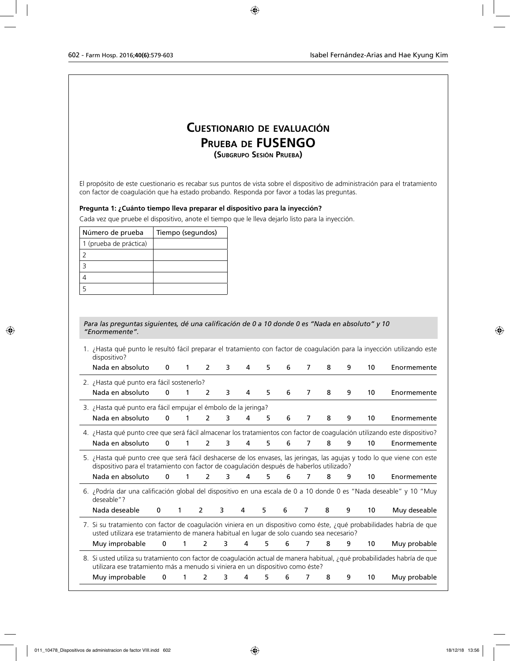## **Cuestionario de evaluación Prueba de FUSENGO (Subgrupo Sesión Prueba)**

El propósito de este cuestionario es recabar sus puntos de vista sobre el dispositivo de administración para el tratamiento con factor de coagulación que ha estado probando. Responda por favor a todas las preguntas.

### **Pregunta 1: ¿Cuánto tiempo lleva preparar el dispositivo para la inyección?**

Cada vez que pruebe el dispositivo, anote el tiempo que le lleva dejarlo listo para la inyección.

| Número de prueba       | Tiempo (segundos) |
|------------------------|-------------------|
| 1 (prueba de práctica) |                   |
|                        |                   |
|                        |                   |
|                        |                   |
|                        |                   |

### *Para las preguntas siguientes, dé una calificación de 0 a 10 donde 0 es "Nada en absoluto" y 10 "Enormemente".*

1. ¿Hasta qué punto le resultó fácil preparar el tratamiento con factor de coagulación para la inyección utilizando este dispositivo?

| Nada en absoluto                                                                                                                                                                                                     | 0           | 1 | 2              | 3 | 4 | 5. | 6 | 7 | 8 | 9 | 10 | Enormemente  |
|----------------------------------------------------------------------------------------------------------------------------------------------------------------------------------------------------------------------|-------------|---|----------------|---|---|----|---|---|---|---|----|--------------|
| 2. ¿Hasta qué punto era fácil sostenerlo?                                                                                                                                                                            |             |   |                |   |   |    |   |   |   |   |    |              |
| Nada en absoluto                                                                                                                                                                                                     | $\mathbf 0$ | 1 | 2              | 3 | 4 | 5  | 6 | 7 | 8 | 9 | 10 | Enormemente  |
| 3. ¿Hasta qué punto era fácil empujar el émbolo de la jeringa?                                                                                                                                                       |             |   |                |   |   |    |   |   |   |   |    |              |
| Nada en absoluto                                                                                                                                                                                                     | $\mathbf 0$ | 1 | $\mathcal{P}$  | 3 | 4 | 5  | 6 | 7 | 8 | 9 | 10 | Enormemente  |
| 4. ¿Hasta qué punto cree que será fácil almacenar los tratamientos con factor de coagulación utilizando este dispositivo?                                                                                            |             |   |                |   |   |    |   |   |   |   |    |              |
| Nada en absoluto                                                                                                                                                                                                     | 0           | 1 | 2              | 3 | 4 | 5  | 6 | 7 | 8 | 9 | 10 | Enormemente  |
| 5. ¿Hasta qué punto cree que será fácil deshacerse de los envases, las jeringas, las agujas y todo lo que viene con este<br>dispositivo para el tratamiento con factor de coagulación después de haberlos utilizado? |             |   |                |   |   |    |   |   |   |   |    |              |
| Nada en absoluto                                                                                                                                                                                                     | 0           | 1 | $\mathcal{P}$  | 3 | 4 | 5  | 6 | 7 | 8 | 9 | 10 | Enormemente  |
| 6. ¿Podría dar una calificación global del dispositivo en una escala de 0 a 10 donde 0 es "Nada deseable" y 10 "Muy<br>deseable"?                                                                                    |             |   |                |   |   |    |   |   |   |   |    |              |
| Nada deseable                                                                                                                                                                                                        | 0           | 1 | 2              | 3 | 4 | 5  | 6 | 7 | 8 | 9 | 10 | Muy deseable |
| 7. Si su tratamiento con factor de coagulación viniera en un dispositivo como éste, ¿qué probabilidades habría de que<br>usted utilizara ese tratamiento de manera habitual en lugar de solo cuando sea necesario?   |             |   |                |   |   |    |   |   |   |   |    |              |
| Muy improbable                                                                                                                                                                                                       | 0           | 1 | $\overline{2}$ | 3 | 4 | 5. | 6 | 7 | 8 | 9 | 10 | Muy probable |
| 8. Si usted utiliza su tratamiento con factor de coagulación actual de manera habitual, ¿qué probabilidades habría de que<br>utilizara ese tratamiento más a menudo si viniera en un dispositivo como éste?          |             |   |                |   |   |    |   |   |   |   |    |              |
| Muy improbable                                                                                                                                                                                                       | 0           |   | 2              | 3 | 4 | 5  | 6 | 7 | 8 | 9 | 10 | Muy probable |